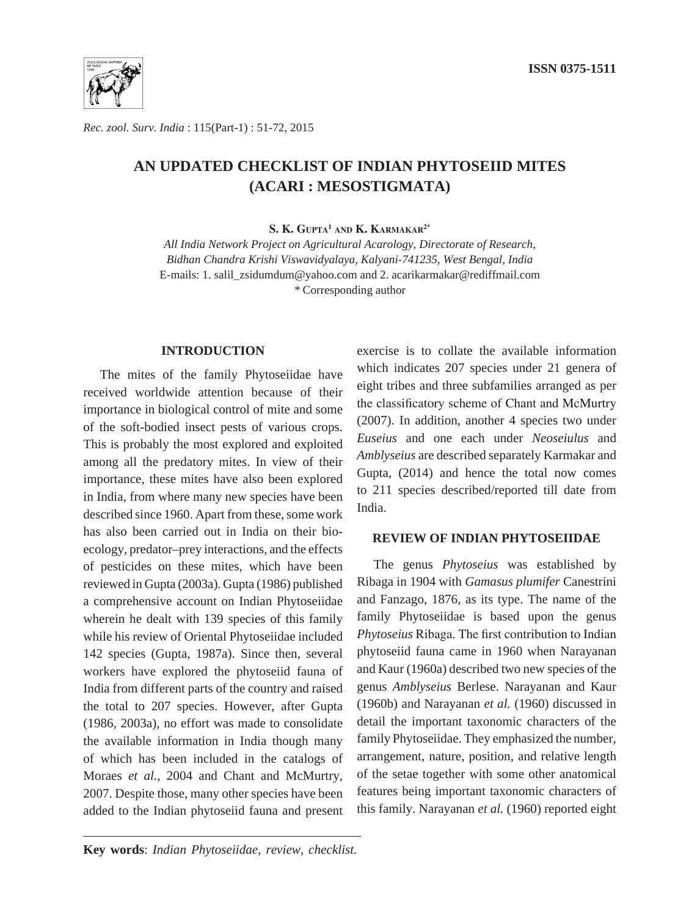

*Rec. zool. Surv. India* : 115(Part-1) : 51-72, 2015

# **AN UPDATED CHECKLIST OF INDIAN PHYTOSEIID MITES (ACARI : MESOSTIGMATA)**

**S. K. Gupta1 and K. Karmakar2\***

*All India Network Project on Agricultural Acarology, Directorate of Research, Bidhan Chandra Krishi Viswavidyalaya, Kalyani-741235, West Bengal, India*  E-mails: 1. salil\_zsidumdum@yahoo.com and 2. acarikarmakar@rediffmail.com *\** Corresponding author

# **INTRODUCTION**

The mites of the family Phytoseiidae have received worldwide attention because of their importance in biological control of mite and some of the soft-bodied insect pests of various crops. This is probably the most explored and exploited among all the predatory mites. In view of their importance, these mites have also been explored in India, from where many new species have been described since 1960. Apart from these, some work has also been carried out in India on their bioecology, predator–prey interactions, and the effects of pesticides on these mites, which have been reviewed in Gupta (2003a). Gupta (1986) published a comprehensive account on Indian Phytoseiidae wherein he dealt with 139 species of this family while his review of Oriental Phytoseiidae included 142 species (Gupta, 1987a). Since then, several workers have explored the phytoseiid fauna of India from different parts of the country and raised the total to 207 species. However, after Gupta (1986, 2003a), no effort was made to consolidate the available information in India though many of which has been included in the catalogs of Moraes *et al.*, 2004 and Chant and McMurtry, 2007. Despite those, many other species have been added to the Indian phytoseiid fauna and present

exercise is to collate the available information which indicates 207 species under 21 genera of eight tribes and three subfamilies arranged as per the classificatory scheme of Chant and McMurtry (2007). In addition, another 4 species two under *Euseius* and one each under *Neoseiulus* and *Amblyseius* are described separately Karmakar and Gupta, (2014) and hence the total now comes to 211 species described/reported till date from India.

# **REVIEW OF INDIAN PHYTOSEIIDAE**

The genus *Phytoseius* was established by Ribaga in 1904 with *Gamasus plumifer* Canestrini and Fanzago, 1876, as its type. The name of the family Phytoseiidae is based upon the genus *Phytoseius* Ribaga. The first contribution to Indian phytoseiid fauna came in 1960 when Narayanan and Kaur (1960a) described two new species of the genus *Amblyseius* Berlese. Narayanan and Kaur (1960b) and Narayanan *et al.* (1960) discussed in detail the important taxonomic characters of the family Phytoseiidae. They emphasized the number, arrangement, nature, position, and relative length of the setae together with some other anatomical features being important taxonomic characters of this family. Narayanan *et al.* (1960) reported eight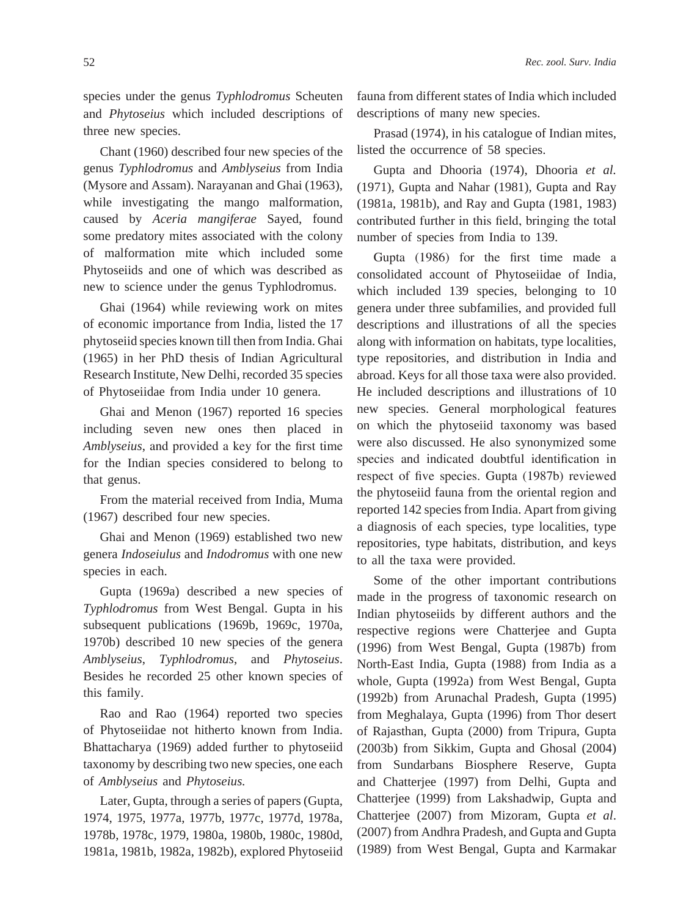species under the genus *Typhlodromus* Scheuten and *Phytoseius* which included descriptions of three new species.

Chant (1960) described four new species of the genus *Typhlodromus* and *Amblyseius* from India (Mysore and Assam). Narayanan and Ghai (1963), while investigating the mango malformation, caused by *Aceria mangiferae* Sayed, found some predatory mites associated with the colony of malformation mite which included some Phytoseiids and one of which was described as new to science under the genus Typhlodromus.

Ghai (1964) while reviewing work on mites of economic importance from India, listed the 17 phytoseiid species known till then from India. Ghai (1965) in her PhD thesis of Indian Agricultural Research Institute, New Delhi, recorded 35 species of Phytoseiidae from India under 10 genera.

Ghai and Menon (1967) reported 16 species including seven new ones then placed in *Amblyseius*, and provided a key for the first time for the Indian species considered to belong to that genus.

From the material received from India, Muma (1967) described four new species.

Ghai and Menon (1969) established two new genera *Indoseiulus* and *Indodromus* with one new species in each.

Gupta (1969a) described a new species of *Typhlodromus* from West Bengal. Gupta in his subsequent publications (1969b, 1969c, 1970a, 1970b) described 10 new species of the genera *Amblyseius*, *Typhlodromus*, and *Phytoseius*. Besides he recorded 25 other known species of this family.

Rao and Rao (1964) reported two species of Phytoseiidae not hitherto known from India. Bhattacharya (1969) added further to phytoseiid taxonomy by describing two new species, one each of *Amblyseius* and *Phytoseius.*

Later, Gupta, through a series of papers (Gupta, 1974, 1975, 1977a, 1977b, 1977c, 1977d, 1978a, 1978b, 1978c, 1979, 1980a, 1980b, 1980c, 1980d, 1981a, 1981b, 1982a, 1982b), explored Phytoseiid fauna from different states of India which included descriptions of many new species.

Prasad (1974), in his catalogue of Indian mites, listed the occurrence of 58 species.

Gupta and Dhooria (1974), Dhooria *et al.* (1971), Gupta and Nahar (1981), Gupta and Ray (1981a, 1981b), and Ray and Gupta (1981, 1983) contributed further in this field, bringing the total number of species from India to 139.

Gupta (1986) for the first time made a consolidated account of Phytoseiidae of India, which included 139 species, belonging to 10 genera under three subfamilies, and provided full descriptions and illustrations of all the species along with information on habitats, type localities, type repositories, and distribution in India and abroad. Keys for all those taxa were also provided. He included descriptions and illustrations of 10 new species. General morphological features on which the phytoseiid taxonomy was based were also discussed. He also synonymized some species and indicated doubtful identification in respect of five species. Gupta (1987b) reviewed the phytoseiid fauna from the oriental region and reported 142 species from India. Apart from giving a diagnosis of each species, type localities, type repositories, type habitats, distribution, and keys to all the taxa were provided.

Some of the other important contributions made in the progress of taxonomic research on Indian phytoseiids by different authors and the respective regions were Chatterjee and Gupta (1996) from West Bengal, Gupta (1987b) from North-East India, Gupta (1988) from India as a whole, Gupta (1992a) from West Bengal, Gupta (1992b) from Arunachal Pradesh, Gupta (1995) from Meghalaya, Gupta (1996) from Thor desert of Rajasthan, Gupta (2000) from Tripura, Gupta (2003b) from Sikkim, Gupta and Ghosal (2004) from Sundarbans Biosphere Reserve, Gupta and Chatterjee (1997) from Delhi, Gupta and Chatterjee (1999) from Lakshadwip, Gupta and Chatterjee (2007) from Mizoram, Gupta *et al*. (2007) from Andhra Pradesh, and Gupta and Gupta (1989) from West Bengal, Gupta and Karmakar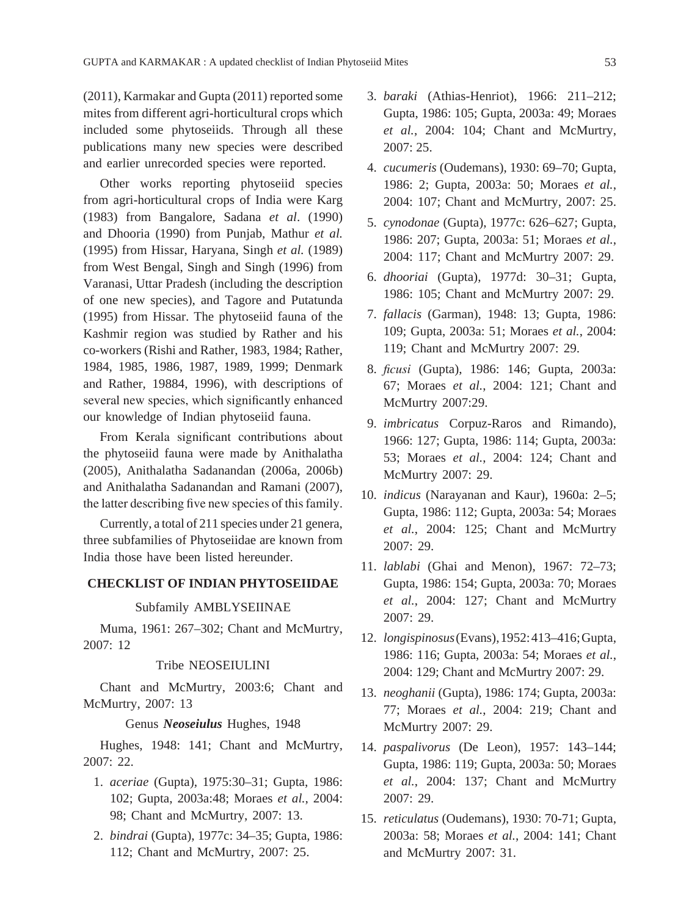(2011), Karmakar and Gupta (2011) reported some mites from different agri-horticultural crops which included some phytoseiids. Through all these publications many new species were described and earlier unrecorded species were reported.

Other works reporting phytoseiid species from agri-horticultural crops of India were Karg (1983) from Bangalore, Sadana *et al*. (1990) and Dhooria (1990) from Punjab, Mathur *et al.* (1995) from Hissar, Haryana, Singh *et al.* (1989) from West Bengal, Singh and Singh (1996) from Varanasi, Uttar Pradesh (including the description of one new species), and Tagore and Putatunda (1995) from Hissar. The phytoseiid fauna of the Kashmir region was studied by Rather and his co-workers (Rishi and Rather, 1983, 1984; Rather, 1984, 1985, 1986, 1987, 1989, 1999; Denmark and Rather, 19884, 1996), with descriptions of several new species, which significantly enhanced our knowledge of Indian phytoseiid fauna.

From Kerala significant contributions about the phytoseiid fauna were made by Anithalatha (2005), Anithalatha Sadanandan (2006a, 2006b) and Anithalatha Sadanandan and Ramani (2007), the latter describing five new species of this family.

Currently, a total of 211 species under 21 genera, three subfamilies of Phytoseiidae are known from India those have been listed hereunder.

## **CHECKLIST OF INDIAN PHYTOSEIIDAE**

## Subfamily AMBLYSEIINAE

Muma, 1961: 267–302; Chant and McMurtry, 2007: 12

### Tribe NEOSEIULINI

Chant and McMurtry, 2003:6; Chant and McMurtry, 2007: 13

### Genus *Neoseiulus* Hughes, 1948

Hughes, 1948: 141; Chant and McMurtry, 2007: 22.

- 1. *aceriae* (Gupta), 1975:30–31; Gupta, 1986: 102; Gupta, 2003a:48; Moraes *et al.*, 2004: 98; Chant and McMurtry, 2007: 13.
- 2. *bindrai* (Gupta), 1977c: 34–35; Gupta, 1986: 112; Chant and McMurtry, 2007: 25.
- 3. *baraki* (Athias-Henriot), 1966: 211–212; Gupta, 1986: 105; Gupta, 2003a: 49; Moraes *et al.*, 2004: 104; Chant and McMurtry, 2007: 25.
- 4. *cucumeris* (Oudemans), 1930: 69–70; Gupta, 1986: 2; Gupta, 2003a: 50; Moraes *et al.*, 2004: 107; Chant and McMurtry, 2007: 25.
- 5. *cynodonae* (Gupta), 1977c: 626–627; Gupta, 1986: 207; Gupta, 2003a: 51; Moraes *et al.*, 2004: 117; Chant and McMurtry 2007: 29.
- 6. *dhooriai* (Gupta), 1977d: 30–31; Gupta, 1986: 105; Chant and McMurtry 2007: 29.
- 7. *fallacis* (Garman), 1948: 13; Gupta, 1986: 109; Gupta, 2003a: 51; Moraes *et al.*, 2004: 119; Chant and McMurtry 2007: 29.
- 8. *ficusi* (Gupta), 1986: 146; Gupta, 2003a: 67; Moraes *et al.*, 2004: 121; Chant and McMurtry 2007:29.
- 9. *imbricatus* Corpuz-Raros and Rimando), 1966: 127; Gupta, 1986: 114; Gupta, 2003a: 53; Moraes *et al.*, 2004: 124; Chant and McMurtry 2007: 29.
- 10. *indicus* (Narayanan and Kaur), 1960a: 2–5; Gupta, 1986: 112; Gupta, 2003a: 54; Moraes *et al.*, 2004: 125; Chant and McMurtry 2007: 29.
- 11. *lablabi* (Ghai and Menon), 1967: 72–73; Gupta, 1986: 154; Gupta, 2003a: 70; Moraes *et al.*, 2004: 127; Chant and McMurtry 2007: 29.
- 12. *longispinosus* (Evans), 1952: 413–416; Gupta, 1986: 116; Gupta, 2003a: 54; Moraes *et al.*, 2004: 129; Chant and McMurtry 2007: 29.
- 13. *neoghanii* (Gupta), 1986: 174; Gupta, 2003a: 77; Moraes *et al.*, 2004: 219; Chant and McMurtry 2007: 29.
- 14. *paspalivorus* (De Leon), 1957: 143–144; Gupta, 1986: 119; Gupta, 2003a: 50; Moraes *et al.*, 2004: 137; Chant and McMurtry 2007: 29.
- 15. *reticulatus* (Oudemans), 1930: 70-71; Gupta, 2003a: 58; Moraes *et al.*, 2004: 141; Chant and McMurtry 2007: 31.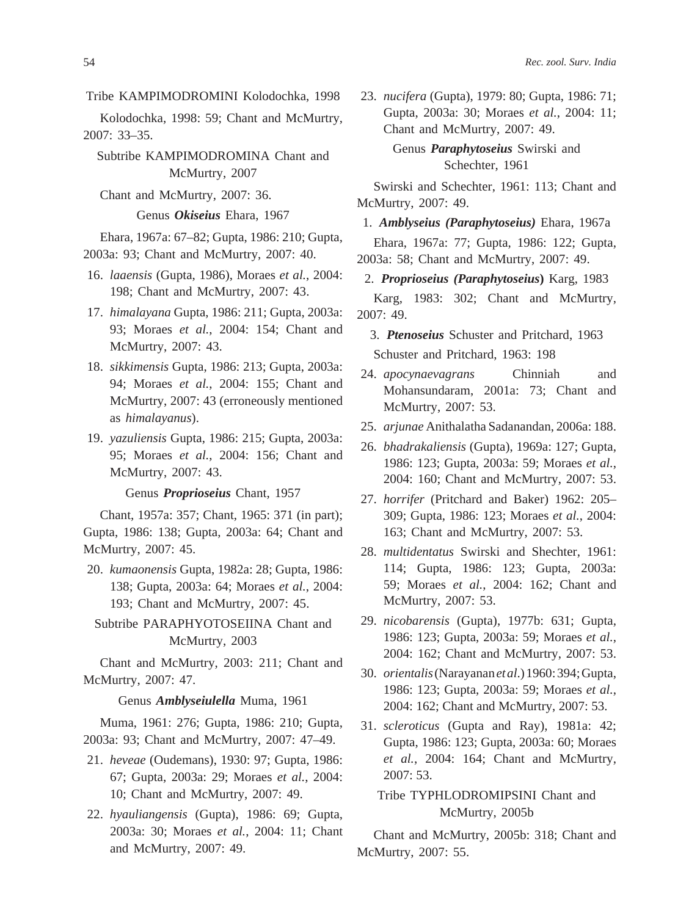Tribe KAMPIMODROMINI Kolodochka, 1998

Kolodochka, 1998: 59; Chant and McMurtry, 2007: 33–35.

Subtribe KAMPIMODROMINA Chant and McMurtry, 2007

Chant and McMurtry, 2007: 36.

Genus *Okiseius* Ehara, 1967

Ehara, 1967a: 67–82; Gupta, 1986: 210; Gupta, 2003a: 93; Chant and McMurtry, 2007: 40.

- 16. *laaensis* (Gupta, 1986), Moraes *et al.*, 2004: 198; Chant and McMurtry, 2007: 43.
- 17. *himalayana* Gupta, 1986: 211; Gupta, 2003a: 93; Moraes *et al.*, 2004: 154; Chant and McMurtry, 2007: 43.
- 18. *sikkimensis* Gupta, 1986: 213; Gupta, 2003a: 94; Moraes *et al.*, 2004: 155; Chant and McMurtry, 2007: 43 (erroneously mentioned as *himalayanus*).
- 19. *yazuliensis* Gupta, 1986: 215; Gupta, 2003a: 95; Moraes *et al.*, 2004: 156; Chant and McMurtry, 2007: 43.

Genus *Proprioseius* Chant, 1957

Chant, 1957a: 357; Chant, 1965: 371 (in part); Gupta, 1986: 138; Gupta, 2003a: 64; Chant and McMurtry, 2007: 45.

20. *kumaonensis* Gupta, 1982a: 28; Gupta, 1986: 138; Gupta, 2003a: 64; Moraes *et al.*, 2004: 193; Chant and McMurtry, 2007: 45.

Subtribe PARAPHYOTOSEIINA Chant and McMurtry, 2003

Chant and McMurtry, 2003: 211; Chant and McMurtry, 2007: 47.

Genus *Amblyseiulella* Muma, 1961

Muma, 1961: 276; Gupta, 1986: 210; Gupta, 2003a: 93; Chant and McMurtry, 2007: 47–49.

- 21. *heveae* (Oudemans), 1930: 97; Gupta, 1986: 67; Gupta, 2003a: 29; Moraes *et al.*, 2004: 10; Chant and McMurtry, 2007: 49.
- 22. *hyauliangensis* (Gupta), 1986: 69; Gupta, 2003a: 30; Moraes *et al.*, 2004: 11; Chant and McMurtry, 2007: 49.

23. *nucifera* (Gupta), 1979: 80; Gupta, 1986: 71; Gupta, 2003a: 30; Moraes *et al.*, 2004: 11; Chant and McMurtry, 2007: 49.

> Genus *Paraphytoseius* Swirski and Schechter, 1961

Swirski and Schechter, 1961: 113; Chant and McMurtry, 2007: 49.

1. *Amblyseius (Paraphytoseius)* Ehara, 1967a

Ehara, 1967a: 77; Gupta, 1986: 122; Gupta, 2003a: 58; Chant and McMurtry, 2007: 49.

2. *Proprioseius (Paraphytoseius***)** Karg, 1983

Karg, 1983: 302; Chant and McMurtry, 2007: 49.

- 3. *Ptenoseius* Schuster and Pritchard, 1963 Schuster and Pritchard, 1963: 198
- 24. *apocynaevagrans* Chinniah and Mohansundaram, 2001a: 73; Chant and McMurtry, 2007: 53.
- 25. *arjunae* Anithalatha Sadanandan, 2006a: 188.
- 26. *bhadrakaliensis* (Gupta), 1969a: 127; Gupta, 1986: 123; Gupta, 2003a: 59; Moraes *et al.*, 2004: 160; Chant and McMurtry, 2007: 53.
- 27. *horrifer* (Pritchard and Baker) 1962: 205– 309; Gupta, 1986: 123; Moraes *et al.*, 2004: 163; Chant and McMurtry, 2007: 53.
- 28. *multidentatus* Swirski and Shechter, 1961: 114; Gupta, 1986: 123; Gupta, 2003a: 59; Moraes *et al.*, 2004: 162; Chant and McMurtry, 2007: 53.
- 29. *nicobarensis* (Gupta), 1977b: 631; Gupta, 1986: 123; Gupta, 2003a: 59; Moraes *et al.*, 2004: 162; Chant and McMurtry, 2007: 53.
- 30. *orientalis* (Narayanan *et al*.) 1960: 394; Gupta, 1986: 123; Gupta, 2003a: 59; Moraes *et al.*, 2004: 162; Chant and McMurtry, 2007: 53.
- 31. *scleroticus* (Gupta and Ray), 1981a: 42; Gupta, 1986: 123; Gupta, 2003a: 60; Moraes *et al.*, 2004: 164; Chant and McMurtry, 2007: 53.

# Tribe TYPHLODROMIPSINI Chant and McMurtry, 2005b

Chant and McMurtry, 2005b: 318; Chant and McMurtry, 2007: 55.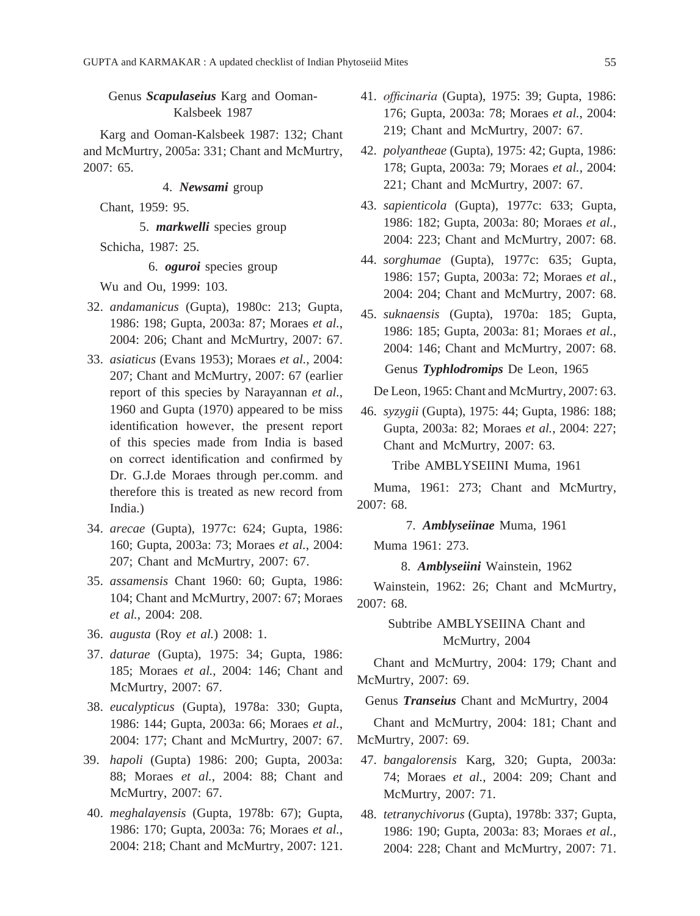Genus *Scapulaseius* Karg and Ooman-Kalsbeek 1987

Karg and Ooman-Kalsbeek 1987: 132; Chant and McMurtry, 2005a: 331; Chant and McMurtry, 2007: 65.

4. *Newsami* group

Chant, 1959: 95.

5. *markwelli* species group

Schicha, 1987: 25.

6. *oguroi* species group

Wu and Ou, 1999: 103.

- 32. *andamanicus* (Gupta), 1980c: 213; Gupta, 1986: 198; Gupta, 2003a: 87; Moraes *et al.*, 2004: 206; Chant and McMurtry, 2007: 67.
- 33. *asiaticus* (Evans 1953); Moraes *et al.*, 2004: 207; Chant and McMurtry, 2007: 67 (earlier report of this species by Narayannan *et al.*, 1960 and Gupta (1970) appeared to be miss identification however, the present report of this species made from India is based on correct identification and confirmed by Dr. G.J.de Moraes through per.comm. and therefore this is treated as new record from India.)
- 34. *arecae* (Gupta), 1977c: 624; Gupta, 1986: 160; Gupta, 2003a: 73; Moraes *et al.*, 2004: 207; Chant and McMurtry, 2007: 67.
- 35. *assamensis* Chant 1960: 60; Gupta, 1986: 104; Chant and McMurtry, 2007: 67; Moraes *et al.*, 2004: 208.
- 36. *augusta* (Roy *et al.*) 2008: 1.
- 37. *daturae* (Gupta), 1975: 34; Gupta, 1986: 185; Moraes *et al.*, 2004: 146; Chant and McMurtry, 2007: 67.
- 38. *eucalypticus* (Gupta), 1978a: 330; Gupta, 1986: 144; Gupta, 2003a: 66; Moraes *et al.*, 2004: 177; Chant and McMurtry, 2007: 67.
- 39. *hapoli* (Gupta) 1986: 200; Gupta, 2003a: 88; Moraes *et al.*, 2004: 88; Chant and McMurtry, 2007: 67.
- 40. *meghalayensis* (Gupta, 1978b: 67); Gupta, 1986: 170; Gupta, 2003a: 76; Moraes *et al.*, 2004: 218; Chant and McMurtry, 2007: 121.
- 41. *officinaria* (Gupta), 1975: 39; Gupta, 1986: 176; Gupta, 2003a: 78; Moraes *et al.*, 2004: 219; Chant and McMurtry, 2007: 67.
- 42. *polyantheae* (Gupta), 1975: 42; Gupta, 1986: 178; Gupta, 2003a: 79; Moraes *et al.*, 2004: 221; Chant and McMurtry, 2007: 67.
- 43. *sapienticola* (Gupta), 1977c: 633; Gupta, 1986: 182; Gupta, 2003a: 80; Moraes *et al.*, 2004: 223; Chant and McMurtry, 2007: 68.
- 44. *sorghumae* (Gupta), 1977c: 635; Gupta, 1986: 157; Gupta, 2003a: 72; Moraes *et al.*, 2004: 204; Chant and McMurtry, 2007: 68.
- 45. *suknaensis* (Gupta), 1970a: 185; Gupta, 1986: 185; Gupta, 2003a: 81; Moraes *et al.*, 2004: 146; Chant and McMurtry, 2007: 68. Genus *Typhlodromips* De Leon, 1965

De Leon, 1965: Chant and McMurtry, 2007: 63.

46. *syzygii* (Gupta), 1975: 44; Gupta, 1986: 188; Gupta, 2003a: 82; Moraes *et al.*, 2004: 227; Chant and McMurtry, 2007: 63.

Tribe AMBLYSEIINI Muma, 1961

Muma, 1961: 273; Chant and McMurtry, 2007: 68.

7. *Amblyseiinae* Muma, 1961

Muma 1961: 273.

8. *Amblyseiini* Wainstein, 1962

Wainstein, 1962: 26; Chant and McMurtry, 2007: 68.

> Subtribe AMBLYSEIINA Chant and McMurtry, 2004

Chant and McMurtry, 2004: 179; Chant and McMurtry, 2007: 69.

Genus *Transeius* Chant and McMurtry, 2004

Chant and McMurtry, 2004: 181; Chant and McMurtry, 2007: 69.

- 47. *bangalorensis* Karg, 320; Gupta, 2003a: 74; Moraes *et al.*, 2004: 209; Chant and McMurtry, 2007: 71.
- 48. *tetranychivorus* (Gupta), 1978b: 337; Gupta, 1986: 190; Gupta, 2003a: 83; Moraes *et al.*, 2004: 228; Chant and McMurtry, 2007: 71.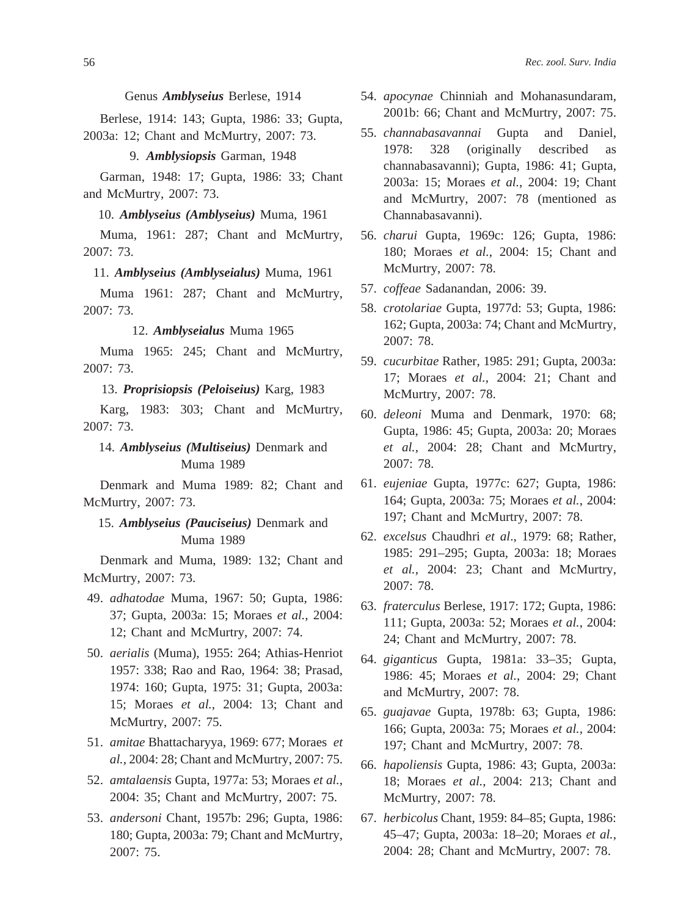Genus *Amblyseius* Berlese, 1914

Berlese, 1914: 143; Gupta, 1986: 33; Gupta, 2003a: 12; Chant and McMurtry, 2007: 73.

9. *Amblysiopsis* Garman, 1948

Garman, 1948: 17; Gupta, 1986: 33; Chant and McMurtry, 2007: 73.

10. *Amblyseius (Amblyseius)* Muma, 1961

Muma, 1961: 287; Chant and McMurtry, 2007: 73.

11. *Amblyseius (Amblyseialus)* Muma, 1961

Muma 1961: 287; Chant and McMurtry, 2007: 73.

12. *Amblyseialus* Muma 1965

Muma 1965: 245; Chant and McMurtry, 2007: 73.

13. *Proprisiopsis (Peloiseius)* Karg, 1983

Karg, 1983: 303; Chant and McMurtry, 2007: 73.

14. *Amblyseius (Multiseius)* Denmark and Muma 1989

Denmark and Muma 1989: 82; Chant and McMurtry, 2007: 73.

# 15. *Amblyseius (Pauciseius)* Denmark and Muma 1989

Denmark and Muma, 1989: 132; Chant and McMurtry, 2007: 73.

- 49. *adhatodae* Muma, 1967: 50; Gupta, 1986: 37; Gupta, 2003a: 15; Moraes *et al.*, 2004: 12; Chant and McMurtry, 2007: 74.
- 50. *aerialis* (Muma), 1955: 264; Athias-Henriot 1957: 338; Rao and Rao, 1964: 38; Prasad, 1974: 160; Gupta, 1975: 31; Gupta, 2003a: 15; Moraes *et al.*, 2004: 13; Chant and McMurtry, 2007: 75.
- 51. *amitae* Bhattacharyya, 1969: 677; Moraes *et al.*, 2004: 28; Chant and McMurtry, 2007: 75.
- 52. *amtalaensis* Gupta, 1977a: 53; Moraes *et al.*, 2004: 35; Chant and McMurtry, 2007: 75.
- 53. *andersoni* Chant, 1957b: 296; Gupta, 1986: 180; Gupta, 2003a: 79; Chant and McMurtry, 2007: 75.
- 54. *apocynae* Chinniah and Mohanasundaram, 2001b: 66; Chant and McMurtry, 2007: 75.
- 55. *channabasavannai* Gupta and Daniel, 1978: 328 (originally described as channabasavanni); Gupta, 1986: 41; Gupta, 2003a: 15; Moraes *et al.*, 2004: 19; Chant and McMurtry, 2007: 78 (mentioned as Channabasavanni).
- 56. *charui* Gupta, 1969c: 126; Gupta, 1986: 180; Moraes *et al.*, 2004: 15; Chant and McMurtry, 2007: 78.
- 57. *coffeae* Sadanandan, 2006: 39.
- 58. *crotolariae* Gupta, 1977d: 53; Gupta, 1986: 162; Gupta, 2003a: 74; Chant and McMurtry, 2007: 78.
- 59. *cucurbitae* Rather, 1985: 291; Gupta, 2003a: 17; Moraes *et al.*, 2004: 21; Chant and McMurtry, 2007: 78.
- 60. *deleoni* Muma and Denmark, 1970: 68; Gupta, 1986: 45; Gupta, 2003a: 20; Moraes *et al.*, 2004: 28; Chant and McMurtry, 2007: 78.
- 61. *eujeniae* Gupta, 1977c: 627; Gupta, 1986: 164; Gupta, 2003a: 75; Moraes *et al.*, 2004: 197; Chant and McMurtry, 2007: 78.
- 62. *excelsus* Chaudhri *et al*., 1979: 68; Rather, 1985: 291–295; Gupta, 2003a: 18; Moraes *et al.*, 2004: 23; Chant and McMurtry, 2007: 78.
- 63. *fraterculus* Berlese, 1917: 172; Gupta, 1986: 111; Gupta, 2003a: 52; Moraes *et al.*, 2004: 24; Chant and McMurtry, 2007: 78.
- 64. *giganticus* Gupta, 1981a: 33–35; Gupta, 1986: 45; Moraes *et al.*, 2004: 29; Chant and McMurtry, 2007: 78.
- 65. *guajavae* Gupta, 1978b: 63; Gupta, 1986: 166; Gupta, 2003a: 75; Moraes *et al.*, 2004: 197; Chant and McMurtry, 2007: 78.
- 66. *hapoliensis* Gupta, 1986: 43; Gupta, 2003a: 18; Moraes *et al.*, 2004: 213; Chant and McMurtry, 2007: 78.
- 67. *herbicolus* Chant, 1959: 84–85; Gupta, 1986: 45–47; Gupta, 2003a: 18–20; Moraes *et al.*, 2004: 28; Chant and McMurtry, 2007: 78.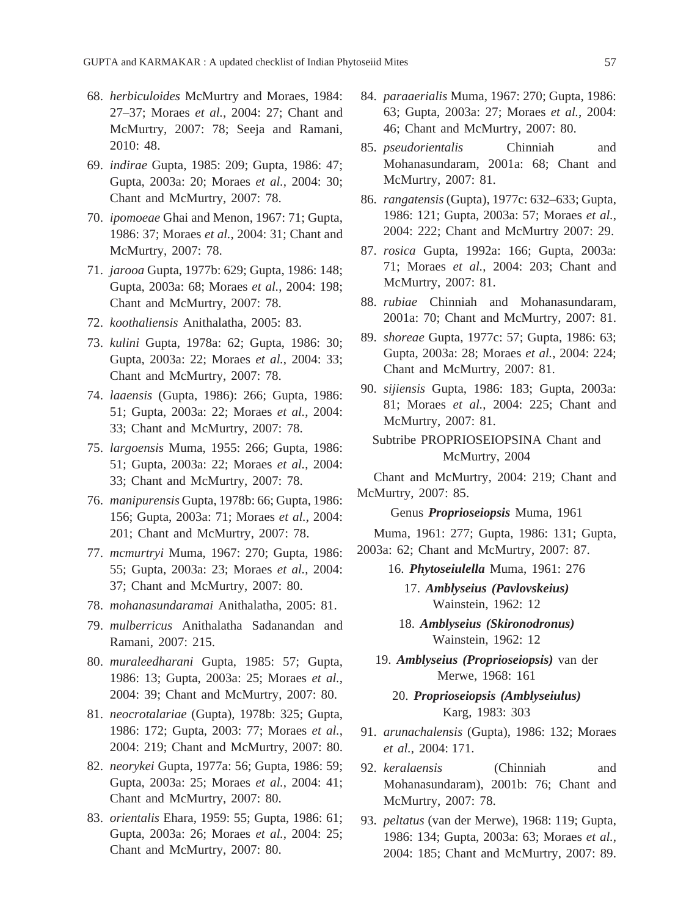- 68. *herbiculoides* McMurtry and Moraes, 1984: 27–37; Moraes *et al.*, 2004: 27; Chant and McMurtry, 2007: 78; Seeja and Ramani, 2010: 48.
- 69. *indirae* Gupta, 1985: 209; Gupta, 1986: 47; Gupta, 2003a: 20; Moraes *et al.*, 2004: 30; Chant and McMurtry, 2007: 78.
- 70. *ipomoeae* Ghai and Menon, 1967: 71; Gupta, 1986: 37; Moraes *et al.*, 2004: 31; Chant and McMurtry, 2007: 78.
- 71. *jarooa* Gupta, 1977b: 629; Gupta, 1986: 148; Gupta, 2003a: 68; Moraes *et al.*, 2004: 198; Chant and McMurtry, 2007: 78.
- 72. *koothaliensis* Anithalatha, 2005: 83.
- 73. *kulini* Gupta, 1978a: 62; Gupta, 1986: 30; Gupta, 2003a: 22; Moraes *et al.*, 2004: 33; Chant and McMurtry, 2007: 78.
- 74. *laaensis* (Gupta, 1986): 266; Gupta, 1986: 51; Gupta, 2003a: 22; Moraes *et al.*, 2004: 33; Chant and McMurtry, 2007: 78.
- 75. *largoensis* Muma, 1955: 266; Gupta, 1986: 51; Gupta, 2003a: 22; Moraes *et al.*, 2004: 33; Chant and McMurtry, 2007: 78.
- 76. *manipurensis* Gupta, 1978b: 66; Gupta, 1986: 156; Gupta, 2003a: 71; Moraes *et al.*, 2004: 201; Chant and McMurtry, 2007: 78.
- 77. *mcmurtryi* Muma, 1967: 270; Gupta, 1986: 55; Gupta, 2003a: 23; Moraes *et al.*, 2004: 37; Chant and McMurtry, 2007: 80.
- 78. *mohanasundaramai* Anithalatha, 2005: 81.
- 79. *mulberricus* Anithalatha Sadanandan and Ramani, 2007: 215.
- 80. *muraleedharani* Gupta, 1985: 57; Gupta, 1986: 13; Gupta, 2003a: 25; Moraes *et al.*, 2004: 39; Chant and McMurtry, 2007: 80.
- 81. *neocrotalariae* (Gupta), 1978b: 325; Gupta, 1986: 172; Gupta, 2003: 77; Moraes *et al.*, 2004: 219; Chant and McMurtry, 2007: 80.
- 82. *neorykei* Gupta, 1977a: 56; Gupta, 1986: 59; Gupta, 2003a: 25; Moraes *et al.*, 2004: 41; Chant and McMurtry, 2007: 80.
- 83. *orientalis* Ehara, 1959: 55; Gupta, 1986: 61; Gupta, 2003a: 26; Moraes *et al.*, 2004: 25; Chant and McMurtry, 2007: 80.
- 84. *paraaerialis* Muma, 1967: 270; Gupta, 1986: 63; Gupta, 2003a: 27; Moraes *et al.*, 2004: 46; Chant and McMurtry, 2007: 80.
- 85. *pseudorientalis* Chinniah and Mohanasundaram, 2001a: 68; Chant and McMurtry, 2007: 81.
- 86. *rangatensis* (Gupta), 1977c: 632–633; Gupta, 1986: 121; Gupta, 2003a: 57; Moraes *et al.*, 2004: 222; Chant and McMurtry 2007: 29.
- 87. *rosica* Gupta, 1992a: 166; Gupta, 2003a: 71; Moraes *et al.*, 2004: 203; Chant and McMurtry, 2007: 81.
- 88. *rubiae* Chinniah and Mohanasundaram, 2001a: 70; Chant and McMurtry, 2007: 81.
- 89. *shoreae* Gupta, 1977c: 57; Gupta, 1986: 63; Gupta, 2003a: 28; Moraes *et al.*, 2004: 224; Chant and McMurtry, 2007: 81.
- 90. *sijiensis* Gupta, 1986: 183; Gupta, 2003a: 81; Moraes *et al.*, 2004: 225; Chant and McMurtry, 2007: 81.

Subtribe PROPRIOSEIOPSINA Chant and McMurtry, 2004

Chant and McMurtry, 2004: 219; Chant and McMurtry, 2007: 85.

Genus *Proprioseiopsis* Muma, 1961

Muma, 1961: 277; Gupta, 1986: 131; Gupta, 2003a: 62; Chant and McMurtry, 2007: 87.

16. *Phytoseiulella* Muma, 1961: 276

17. *Amblyseius (Pavlovskeius)* Wainstein, 1962: 12

18. *Amblyseius (Skironodronus)* Wainstein, 1962: 12

19. *Amblyseius (Proprioseiopsis)* van der Merwe, 1968: 161

20. *Proprioseiopsis (Amblyseiulus)* Karg, 1983: 303

- 91. *arunachalensis* (Gupta), 1986: 132; Moraes *et al.*, 2004: 171.
- 92. *keralaensis* (Chinniah and Mohanasundaram), 2001b: 76; Chant and McMurtry, 2007: 78.
- 93. *peltatus* (van der Merwe), 1968: 119; Gupta, 1986: 134; Gupta, 2003a: 63; Moraes *et al.*, 2004: 185; Chant and McMurtry, 2007: 89.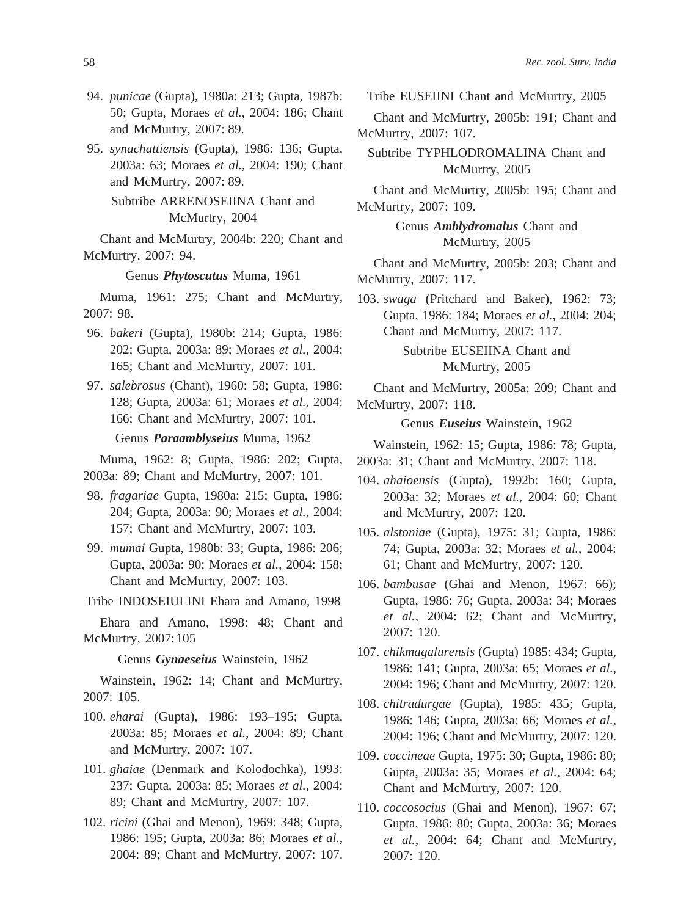- 94. *punicae* (Gupta), 1980a: 213; Gupta, 1987b: 50; Gupta, Moraes *et al.*, 2004: 186; Chant and McMurtry, 2007: 89.
- 95. *synachattiensis* (Gupta), 1986: 136; Gupta, 2003a: 63; Moraes *et al.*, 2004: 190; Chant and McMurtry, 2007: 89.

# Subtribe ARRENOSEIINA Chant and McMurtry, 2004

Chant and McMurtry, 2004b: 220; Chant and McMurtry, 2007: 94.

#### Genus *Phytoscutus* Muma, 1961

Muma, 1961: 275; Chant and McMurtry, 2007: 98.

96. *bakeri* (Gupta), 1980b: 214; Gupta, 1986: 202; Gupta, 2003a: 89; Moraes *et al.*, 2004: 165; Chant and McMurtry, 2007: 101.

# Genus *Paraamblyseius* Muma, 1962

Muma, 1962: 8; Gupta, 1986: 202; Gupta, 2003a: 89; Chant and McMurtry, 2007: 101.

- 98. *fragariae* Gupta, 1980a: 215; Gupta, 1986: 204; Gupta, 2003a: 90; Moraes *et al.*, 2004: 157; Chant and McMurtry, 2007: 103.
- 99. *mumai* Gupta, 1980b: 33; Gupta, 1986: 206; Gupta, 2003a: 90; Moraes *et al.*, 2004: 158; Chant and McMurtry, 2007: 103.

Tribe INDOSEIULINI Ehara and Amano, 1998

Ehara and Amano, 1998: 48; Chant and McMurtry, 2007: 105

Genus *Gynaeseius* Wainstein, 1962

Wainstein, 1962: 14; Chant and McMurtry, 2007: 105.

- 100. *eharai* (Gupta), 1986: 193–195; Gupta, 2003a: 85; Moraes *et al.*, 2004: 89; Chant and McMurtry, 2007: 107.
- 101. *ghaiae* (Denmark and Kolodochka), 1993: 237; Gupta, 2003a: 85; Moraes *et al.*, 2004: 89; Chant and McMurtry, 2007: 107.
- 102. *ricini* (Ghai and Menon), 1969: 348; Gupta, 1986: 195; Gupta, 2003a: 86; Moraes *et al.*, 2004: 89; Chant and McMurtry, 2007: 107.

Tribe EUSEIINI Chant and McMurtry, 2005

Chant and McMurtry, 2005b: 191; Chant and McMurtry, 2007: 107.

Subtribe TYPHLODROMALINA Chant and McMurtry, 2005

Chant and McMurtry, 2005b: 195; Chant and McMurtry, 2007: 109.

> Genus *Amblydromalus* Chant and McMurtry, 2005

Chant and McMurtry, 2005b: 203; Chant and McMurtry, 2007: 117.

103. *swaga* (Pritchard and Baker), 1962: 73; Gupta, 1986: 184; Moraes *et al.*, 2004: 204; Chant and McMurtry, 2007: 117.

> Subtribe EUSEIINA Chant and McMurtry, 2005

Chant and McMurtry, 2005a: 209; Chant and McMurtry, 2007: 118.

Genus *Euseius* Wainstein, 1962

Wainstein, 1962: 15; Gupta, 1986: 78; Gupta, 2003a: 31; Chant and McMurtry, 2007: 118.

- 104. *ahaioensis* (Gupta), 1992b: 160; Gupta, 2003a: 32; Moraes *et al.*, 2004: 60; Chant and McMurtry, 2007: 120.
- 105. *alstoniae* (Gupta), 1975: 31; Gupta, 1986: 74; Gupta, 2003a: 32; Moraes *et al.*, 2004: 61; Chant and McMurtry, 2007: 120.
- 106. *bambusae* (Ghai and Menon, 1967: 66); Gupta, 1986: 76; Gupta, 2003a: 34; Moraes *et al.*, 2004: 62; Chant and McMurtry, 2007: 120.
- 107. *chikmagalurensis* (Gupta) 1985: 434; Gupta, 1986: 141; Gupta, 2003a: 65; Moraes *et al.*, 2004: 196; Chant and McMurtry, 2007: 120.
- 108. *chitradurgae* (Gupta), 1985: 435; Gupta, 1986: 146; Gupta, 2003a: 66; Moraes *et al.*, 2004: 196; Chant and McMurtry, 2007: 120.
- 109. *coccineae* Gupta, 1975: 30; Gupta, 1986: 80; Gupta, 2003a: 35; Moraes *et al.*, 2004: 64; Chant and McMurtry, 2007: 120.
- 110. *coccosocius* (Ghai and Menon), 1967: 67; Gupta, 1986: 80; Gupta, 2003a: 36; Moraes *et al.*, 2004: 64; Chant and McMurtry, 2007: 120.

<sup>97.</sup> *salebrosus* (Chant), 1960: 58; Gupta, 1986: 128; Gupta, 2003a: 61; Moraes *et al.*, 2004: 166; Chant and McMurtry, 2007: 101.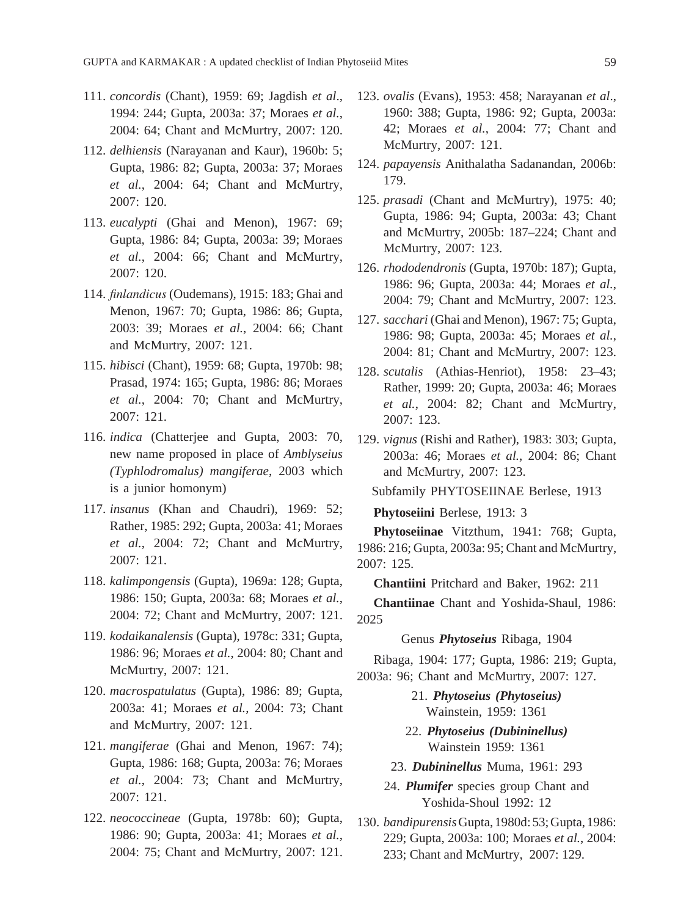- 111. *concordis* (Chant), 1959: 69; Jagdish *et al*., 1994: 244; Gupta, 2003a: 37; Moraes *et al.*, 2004: 64; Chant and McMurtry, 2007: 120.
- 112. *delhiensis* (Narayanan and Kaur), 1960b: 5; Gupta, 1986: 82; Gupta, 2003a: 37; Moraes *et al.*, 2004: 64; Chant and McMurtry, 2007: 120.
- 113. *eucalypti* (Ghai and Menon), 1967: 69; Gupta, 1986: 84; Gupta, 2003a: 39; Moraes *et al.*, 2004: 66; Chant and McMurtry, 2007: 120.
- 114. *finlandicus* (Oudemans), 1915: 183; Ghai and Menon, 1967: 70; Gupta, 1986: 86; Gupta, 2003: 39; Moraes *et al.*, 2004: 66; Chant and McMurtry, 2007: 121.
- 115. *hibisci* (Chant), 1959: 68; Gupta, 1970b: 98; Prasad, 1974: 165; Gupta, 1986: 86; Moraes *et al.*, 2004: 70; Chant and McMurtry, 2007: 121.
- 116. *indica* (Chatterjee and Gupta, 2003: 70, new name proposed in place of *Amblyseius (Typhlodromalus) mangiferae*, 2003 which is a junior homonym)
- 117. *insanus* (Khan and Chaudri), 1969: 52; Rather, 1985: 292; Gupta, 2003a: 41; Moraes *et al.*, 2004: 72; Chant and McMurtry, 2007: 121.
- 118. *kalimpongensis* (Gupta), 1969a: 128; Gupta, 1986: 150; Gupta, 2003a: 68; Moraes *et al.*, 2004: 72; Chant and McMurtry, 2007: 121.
- 119. *kodaikanalensis* (Gupta), 1978c: 331; Gupta, 1986: 96; Moraes *et al.*, 2004: 80; Chant and McMurtry, 2007: 121.
- 120. *macrospatulatus* (Gupta), 1986: 89; Gupta, 2003a: 41; Moraes *et al.*, 2004: 73; Chant and McMurtry, 2007: 121.
- 121. *mangiferae* (Ghai and Menon, 1967: 74); Gupta, 1986: 168; Gupta, 2003a: 76; Moraes *et al.*, 2004: 73; Chant and McMurtry, 2007: 121.
- 122. *neococcineae* (Gupta, 1978b: 60); Gupta, 1986: 90; Gupta, 2003a: 41; Moraes *et al.*, 2004: 75; Chant and McMurtry, 2007: 121.
- 123. *ovalis* (Evans), 1953: 458; Narayanan *et al*., 1960: 388; Gupta, 1986: 92; Gupta, 2003a: 42; Moraes *et al.*, 2004: 77; Chant and McMurtry, 2007: 121.
- 124. *papayensis* Anithalatha Sadanandan, 2006b: 179.
- 125. *prasadi* (Chant and McMurtry), 1975: 40; Gupta, 1986: 94; Gupta, 2003a: 43; Chant and McMurtry, 2005b: 187–224; Chant and McMurtry, 2007: 123.
- 126. *rhododendronis* (Gupta, 1970b: 187); Gupta, 1986: 96; Gupta, 2003a: 44; Moraes *et al.*, 2004: 79; Chant and McMurtry, 2007: 123.
- 127. *sacchari* (Ghai and Menon), 1967: 75; Gupta, 1986: 98; Gupta, 2003a: 45; Moraes *et al.*, 2004: 81; Chant and McMurtry, 2007: 123.
- 128. *scutalis* (Athias-Henriot), 1958: 23–43; Rather, 1999: 20; Gupta, 2003a: 46; Moraes *et al.*, 2004: 82; Chant and McMurtry, 2007: 123.
- 129. *vignus* (Rishi and Rather), 1983: 303; Gupta, 2003a: 46; Moraes *et al.*, 2004: 86; Chant and McMurtry, 2007: 123.

Subfamily PHYTOSEIINAE Berlese, 1913

**Phytoseiini** Berlese, 1913: 3

**Phytoseiinae** Vitzthum, 1941: 768; Gupta, 1986: 216; Gupta, 2003a: 95; Chant and McMurtry, 2007: 125.

**Chantiini** Pritchard and Baker, 1962: 211

**Chantiinae** Chant and Yoshida-Shaul, 1986: 2025

Genus *Phytoseius* Ribaga, 1904

Ribaga, 1904: 177; Gupta, 1986: 219; Gupta, 2003a: 96; Chant and McMurtry, 2007: 127.

- 21. *Phytoseius (Phytoseius)* Wainstein, 1959: 1361
- 22. *Phytoseius (Dubininellus)*  Wainstein 1959: 1361
- 23. *Dubininellus* Muma, 1961: 293
- 24. *Plumifer* species group Chant and Yoshida-Shoul 1992: 12
- 130. *bandipurensis* Gupta, 1980d: 53; Gupta, 1986: 229; Gupta, 2003a: 100; Moraes *et al.*, 2004: 233; Chant and McMurtry, 2007: 129.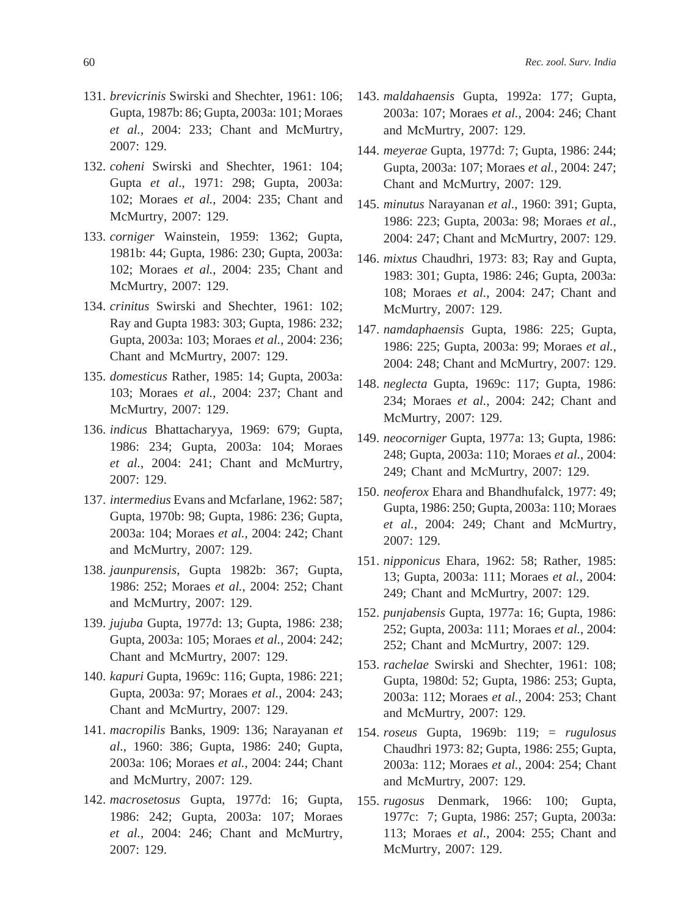- 131. *brevicrinis* Swirski and Shechter, 1961: 106; Gupta, 1987b: 86; Gupta, 2003a: 101; Moraes *et al.*, 2004: 233; Chant and McMurtry, 2007: 129.
- 132. *coheni* Swirski and Shechter, 1961: 104; Gupta *et al*., 1971: 298; Gupta, 2003a: 102; Moraes *et al.*, 2004: 235; Chant and McMurtry, 2007: 129.
- 133. *corniger* Wainstein, 1959: 1362; Gupta, 1981b: 44; Gupta, 1986: 230; Gupta, 2003a: 102; Moraes *et al.*, 2004: 235; Chant and McMurtry, 2007: 129.
- 134. *crinitus* Swirski and Shechter, 1961: 102; Ray and Gupta 1983: 303; Gupta, 1986: 232; Gupta, 2003a: 103; Moraes *et al.*, 2004: 236; Chant and McMurtry, 2007: 129.
- 135. *domesticus* Rather, 1985: 14; Gupta, 2003a: 103; Moraes *et al.*, 2004: 237; Chant and McMurtry, 2007: 129.
- 136. *indicus* Bhattacharyya, 1969: 679; Gupta, 1986: 234; Gupta, 2003a: 104; Moraes *et al.*, 2004: 241; Chant and McMurtry, 2007: 129.
- 137. *intermedius* Evans and Mcfarlane, 1962: 587; Gupta, 1970b: 98; Gupta, 1986: 236; Gupta, 2003a: 104; Moraes *et al.*, 2004: 242; Chant and McMurtry, 2007: 129.
- 138. *jaunpurensis*, Gupta 1982b: 367; Gupta, 1986: 252; Moraes *et al.*, 2004: 252; Chant and McMurtry, 2007: 129.
- 139. *jujuba* Gupta, 1977d: 13; Gupta, 1986: 238; Gupta, 2003a: 105; Moraes *et al.*, 2004: 242; Chant and McMurtry, 2007: 129.
- 140. *kapuri* Gupta, 1969c: 116; Gupta, 1986: 221; Gupta, 2003a: 97; Moraes *et al.*, 2004: 243; Chant and McMurtry, 2007: 129.
- 141. *macropilis* Banks, 1909: 136; Narayanan *et al*., 1960: 386; Gupta, 1986: 240; Gupta, 2003a: 106; Moraes *et al.*, 2004: 244; Chant and McMurtry, 2007: 129.
- 142. *macrosetosus* Gupta, 1977d: 16; Gupta, 1986: 242; Gupta, 2003a: 107; Moraes *et al.*, 2004: 246; Chant and McMurtry, 2007: 129.
- 143. *maldahaensis* Gupta, 1992a: 177; Gupta, 2003a: 107; Moraes *et al.*, 2004: 246; Chant and McMurtry, 2007: 129.
- 144. *meyerae* Gupta, 1977d: 7; Gupta, 1986: 244; Gupta, 2003a: 107; Moraes *et al.*, 2004: 247; Chant and McMurtry, 2007: 129.
- 145. *minutus* Narayanan *et al*., 1960: 391; Gupta, 1986: 223; Gupta, 2003a: 98; Moraes *et al.*, 2004: 247; Chant and McMurtry, 2007: 129.
- 146. *mixtus* Chaudhri, 1973: 83; Ray and Gupta, 1983: 301; Gupta, 1986: 246; Gupta, 2003a: 108; Moraes *et al.*, 2004: 247; Chant and McMurtry, 2007: 129.
- 147. *namdaphaensis* Gupta, 1986: 225; Gupta, 1986: 225; Gupta, 2003a: 99; Moraes *et al.*, 2004: 248; Chant and McMurtry, 2007: 129.
- 148. *neglecta* Gupta, 1969c: 117; Gupta, 1986: 234; Moraes *et al.*, 2004: 242; Chant and McMurtry, 2007: 129.
- 149. *neocorniger* Gupta, 1977a: 13; Gupta, 1986: 248; Gupta, 2003a: 110; Moraes *et al.*, 2004: 249; Chant and McMurtry, 2007: 129.
- 150. *neoferox* Ehara and Bhandhufalck, 1977: 49; Gupta, 1986: 250; Gupta, 2003a: 110; Moraes *et al.*, 2004: 249; Chant and McMurtry, 2007: 129.
- 151. *nipponicus* Ehara, 1962: 58; Rather, 1985: 13; Gupta, 2003a: 111; Moraes *et al.*, 2004: 249; Chant and McMurtry, 2007: 129.
- 152. *punjabensis* Gupta, 1977a: 16; Gupta, 1986: 252; Gupta, 2003a: 111; Moraes *et al.*, 2004: 252; Chant and McMurtry, 2007: 129.
- 153. *rachelae* Swirski and Shechter, 1961: 108; Gupta, 1980d: 52; Gupta, 1986: 253; Gupta, 2003a: 112; Moraes *et al.*, 2004: 253; Chant and McMurtry, 2007: 129.
- 154. *roseus* Gupta, 1969b: 119; = *rugulosus* Chaudhri 1973: 82; Gupta, 1986: 255; Gupta, 2003a: 112; Moraes *et al.*, 2004: 254; Chant and McMurtry, 2007: 129.
- 155. *rugosus* Denmark, 1966: 100; Gupta, 1977c: 7; Gupta, 1986: 257; Gupta, 2003a: 113; Moraes *et al.*, 2004: 255; Chant and McMurtry, 2007: 129.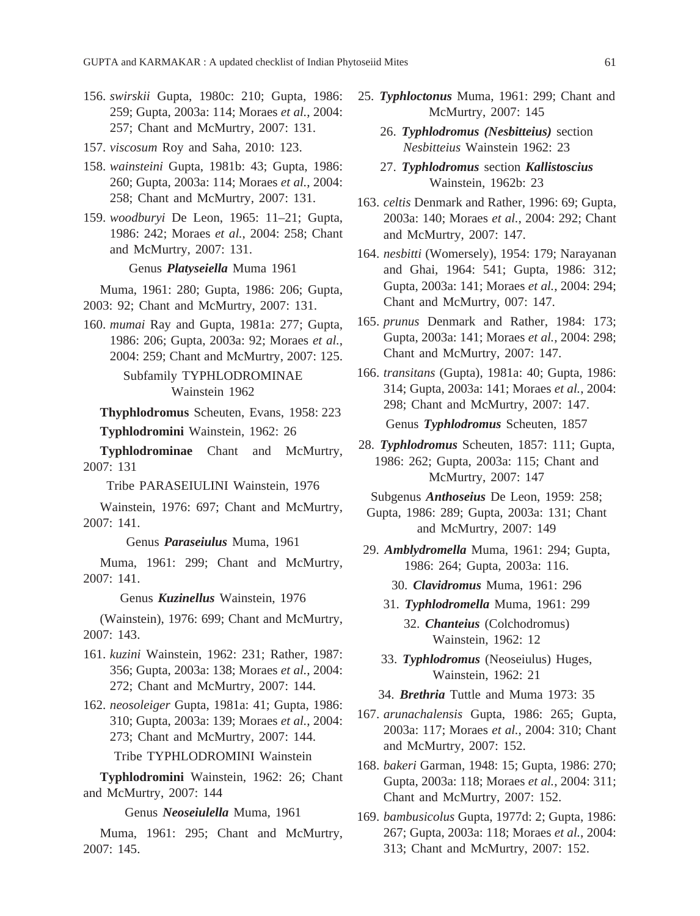156. *swirskii* Gupta, 1980c: 210; Gupta, 1986: 259; Gupta, 2003a: 114; Moraes *et al.*, 2004: 257; Chant and McMurtry, 2007: 131.

- 157. *viscosum* Roy and Saha, 2010: 123.
- 158. *wainsteini* Gupta, 1981b: 43; Gupta, 1986: 260; Gupta, 2003a: 114; Moraes *et al.*, 2004: 258; Chant and McMurtry, 2007: 131.
- 159. *woodburyi* De Leon, 1965: 11–21; Gupta, 1986: 242; Moraes *et al.*, 2004: 258; Chant and McMurtry, 2007: 131.

Genus *Platyseiella* Muma 1961

Muma, 1961: 280; Gupta, 1986: 206; Gupta, 2003: 92; Chant and McMurtry, 2007: 131.

160. *mumai* Ray and Gupta, 1981a: 277; Gupta, 1986: 206; Gupta, 2003a: 92; Moraes *et al.*, 2004: 259; Chant and McMurtry, 2007: 125.

> Subfamily TYPHLODROMINAE Wainstein 1962

**Thyphlodromus** Scheuten, Evans, 1958: 223 **Typhlodromini** Wainstein, 1962: 26

**Typhlodrominae** Chant and McMurtry, 2007: 131

Tribe PARASEIULINI Wainstein, 1976

Wainstein, 1976: 697; Chant and McMurtry, 2007: 141.

Genus *Paraseiulus* Muma, 1961

Muma, 1961: 299; Chant and McMurtry, 2007: 141.

Genus *Kuzinellus* Wainstein, 1976

(Wainstein), 1976: 699; Chant and McMurtry, 2007: 143.

- 161. *kuzini* Wainstein, 1962: 231; Rather, 1987: 356; Gupta, 2003a: 138; Moraes *et al.*, 2004: 272; Chant and McMurtry, 2007: 144.
- 162. *neosoleiger* Gupta, 1981a: 41; Gupta, 1986: 310; Gupta, 2003a: 139; Moraes *et al.*, 2004: 273; Chant and McMurtry, 2007: 144. Tribe TYPHLODROMINI Wainstein

**Typhlodromini** Wainstein, 1962: 26; Chant and McMurtry, 2007: 144

Genus *Neoseiulella* Muma, 1961

Muma, 1961: 295; Chant and McMurtry, 2007: 145.

- 25. *Typhloctonus* Muma, 1961: 299; Chant and McMurtry, 2007: 145
	- 26. *Typhlodromus (Nesbitteius)* section *Nesbitteius* Wainstein 1962: 23
	- 27. *Typhlodromus* section *Kallistoscius*  Wainstein, 1962b: 23
- 163. *celtis* Denmark and Rather, 1996: 69; Gupta, 2003a: 140; Moraes *et al.*, 2004: 292; Chant and McMurtry, 2007: 147.
- 164. *nesbitti* (Womersely), 1954: 179; Narayanan and Ghai, 1964: 541; Gupta, 1986: 312; Gupta, 2003a: 141; Moraes *et al.*, 2004: 294; Chant and McMurtry, 007: 147.
- 165. *prunus* Denmark and Rather, 1984: 173; Gupta, 2003a: 141; Moraes *et al.*, 2004: 298; Chant and McMurtry, 2007: 147.
- 166. *transitans* (Gupta), 1981a: 40; Gupta, 1986: 314; Gupta, 2003a: 141; Moraes *et al.*, 2004: 298; Chant and McMurtry, 2007: 147. Genus *Typhlodromus* Scheuten, 1857
- 28. *Typhlodromus* Scheuten, 1857: 111; Gupta, 1986: 262; Gupta, 2003a: 115; Chant and McMurtry, 2007: 147
	- Subgenus *Anthoseius* De Leon, 1959: 258;
	- Gupta, 1986: 289; Gupta, 2003a: 131; Chant and McMurtry, 2007: 149
- 29. *Amblydromella* Muma, 1961: 294; Gupta, 1986: 264; Gupta, 2003a: 116.
	- 30. *Clavidromus* Muma, 1961: 296
	- 31. *Typhlodromella* Muma, 1961: 299

32. *Chanteius* (Colchodromus) Wainstein, 1962: 12

33. *Typhlodromus* (Neoseiulus) Huges, Wainstein, 1962: 21

34. *Brethria* Tuttle and Muma 1973: 35

- 167. *arunachalensis* Gupta, 1986: 265; Gupta, 2003a: 117; Moraes *et al.*, 2004: 310; Chant and McMurtry, 2007: 152.
- 168. *bakeri* Garman, 1948: 15; Gupta, 1986: 270; Gupta, 2003a: 118; Moraes *et al.*, 2004: 311; Chant and McMurtry, 2007: 152.
- 169. *bambusicolus* Gupta, 1977d: 2; Gupta, 1986: 267; Gupta, 2003a: 118; Moraes *et al.*, 2004: 313; Chant and McMurtry, 2007: 152.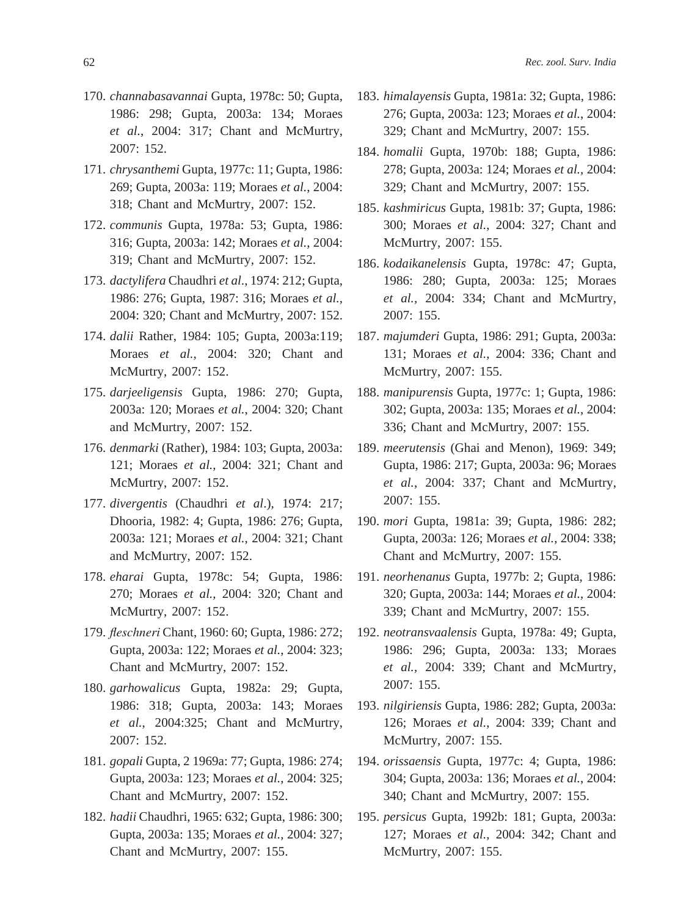- 170. *channabasavannai* Gupta, 1978c: 50; Gupta, 1986: 298; Gupta, 2003a: 134; Moraes *et al.*, 2004: 317; Chant and McMurtry, 2007: 152.
- 171. *chrysanthemi* Gupta, 1977c: 11; Gupta, 1986: 269; Gupta, 2003a: 119; Moraes *et al.*, 2004: 318; Chant and McMurtry, 2007: 152.
- 172. *communis* Gupta, 1978a: 53; Gupta, 1986: 316; Gupta, 2003a: 142; Moraes *et al.*, 2004: 319; Chant and McMurtry, 2007: 152.
- 173. *dactylifera* Chaudhri *et al*., 1974: 212; Gupta, 1986: 276; Gupta, 1987: 316; Moraes *et al.*, 2004: 320; Chant and McMurtry, 2007: 152.
- 174. *dalii* Rather, 1984: 105; Gupta, 2003a:119; Moraes *et al.*, 2004: 320; Chant and McMurtry, 2007: 152.
- 175. *darjeeligensis* Gupta, 1986: 270; Gupta, 2003a: 120; Moraes *et al.*, 2004: 320; Chant and McMurtry, 2007: 152.
- 176. *denmarki* (Rather), 1984: 103; Gupta, 2003a: 121; Moraes *et al.*, 2004: 321; Chant and McMurtry, 2007: 152.
- 177. *divergentis* (Chaudhri *et al*.), 1974: 217; Dhooria, 1982: 4; Gupta, 1986: 276; Gupta, 2003a: 121; Moraes *et al.*, 2004: 321; Chant and McMurtry, 2007: 152.
- 178. *eharai* Gupta, 1978c: 54; Gupta, 1986: 270; Moraes *et al.*, 2004: 320; Chant and McMurtry, 2007: 152.
- 179. *fleschneri* Chant, 1960: 60; Gupta, 1986: 272; Gupta, 2003a: 122; Moraes *et al.*, 2004: 323; Chant and McMurtry, 2007: 152.
- 180. *garhowalicus* Gupta, 1982a: 29; Gupta, 1986: 318; Gupta, 2003a: 143; Moraes *et al.*, 2004:325; Chant and McMurtry, 2007: 152.
- 181. *gopali* Gupta, 2 1969a: 77; Gupta, 1986: 274; Gupta, 2003a: 123; Moraes *et al.*, 2004: 325; Chant and McMurtry, 2007: 152.
- 182. *hadii* Chaudhri, 1965: 632; Gupta, 1986: 300; Gupta, 2003a: 135; Moraes *et al.*, 2004: 327; Chant and McMurtry, 2007: 155.
- 183. *himalayensis* Gupta, 1981a: 32; Gupta, 1986: 276; Gupta, 2003a: 123; Moraes *et al.*, 2004: 329; Chant and McMurtry, 2007: 155.
- 184. *homalii* Gupta, 1970b: 188; Gupta, 1986: 278; Gupta, 2003a: 124; Moraes *et al.*, 2004: 329; Chant and McMurtry, 2007: 155.
- 185. *kashmiricus* Gupta, 1981b: 37; Gupta, 1986: 300; Moraes *et al.*, 2004: 327; Chant and McMurtry, 2007: 155.
- 186. *kodaikanelensis* Gupta, 1978c: 47; Gupta, 1986: 280; Gupta, 2003a: 125; Moraes *et al.*, 2004: 334; Chant and McMurtry, 2007: 155.
- 187. *majumderi* Gupta, 1986: 291; Gupta, 2003a: 131; Moraes *et al.*, 2004: 336; Chant and McMurtry, 2007: 155.
- 188. *manipurensis* Gupta, 1977c: 1; Gupta, 1986: 302; Gupta, 2003a: 135; Moraes *et al.*, 2004: 336; Chant and McMurtry, 2007: 155.
- 189. *meerutensis* (Ghai and Menon), 1969: 349; Gupta, 1986: 217; Gupta, 2003a: 96; Moraes *et al.*, 2004: 337; Chant and McMurtry, 2007: 155.
- 190. *mori* Gupta, 1981a: 39; Gupta, 1986: 282; Gupta, 2003a: 126; Moraes *et al.*, 2004: 338; Chant and McMurtry, 2007: 155.
- 191. *neorhenanus* Gupta, 1977b: 2; Gupta, 1986: 320; Gupta, 2003a: 144; Moraes *et al.*, 2004: 339; Chant and McMurtry, 2007: 155.
- 192. *neotransvaalensis* Gupta, 1978a: 49; Gupta, 1986: 296; Gupta, 2003a: 133; Moraes *et al.*, 2004: 339; Chant and McMurtry, 2007: 155.
- 193. *nilgiriensis* Gupta, 1986: 282; Gupta, 2003a: 126; Moraes *et al.*, 2004: 339; Chant and McMurtry, 2007: 155.
- 194. *orissaensis* Gupta, 1977c: 4; Gupta, 1986: 304; Gupta, 2003a: 136; Moraes *et al.*, 2004: 340; Chant and McMurtry, 2007: 155.
- 195. *persicus* Gupta, 1992b: 181; Gupta, 2003a: 127; Moraes *et al.*, 2004: 342; Chant and McMurtry, 2007: 155.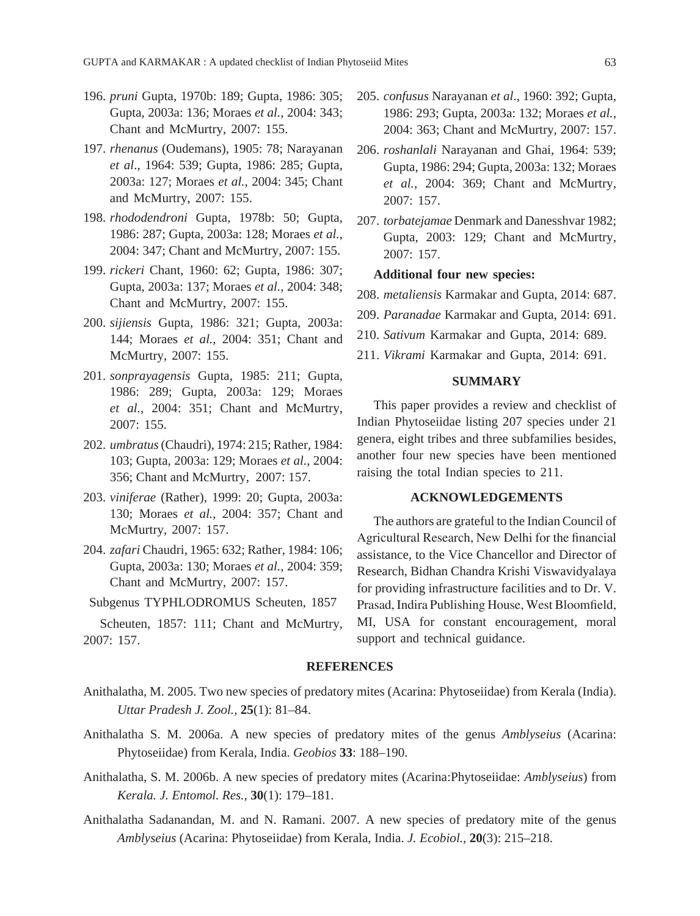- 196. *pruni* Gupta, 1970b: 189; Gupta, 1986: 305; Gupta, 2003a: 136; Moraes *et al.*, 2004: 343; Chant and McMurtry, 2007: 155.
- 197. *rhenanus* (Oudemans), 1905: 78; Narayanan *et al*., 1964: 539; Gupta, 1986: 285; Gupta, 2003a: 127; Moraes *et al.*, 2004: 345; Chant and McMurtry, 2007: 155.
- 198. *rhododendroni* Gupta, 1978b: 50; Gupta, 1986: 287; Gupta, 2003a: 128; Moraes *et al.*, 2004: 347; Chant and McMurtry, 2007: 155.
- 199. *rickeri* Chant, 1960: 62; Gupta, 1986: 307; Gupta, 2003a: 137; Moraes *et al.*, 2004: 348; Chant and McMurtry, 2007: 155.
- 200. *sijiensis* Gupta, 1986: 321; Gupta, 2003a: 144; Moraes *et al.*, 2004: 351; Chant and McMurtry, 2007: 155.
- 201. *sonprayagensis* Gupta, 1985: 211; Gupta, 1986: 289; Gupta, 2003a: 129; Moraes *et al.*, 2004: 351; Chant and McMurtry, 2007: 155.
- 202. *umbratus* (Chaudri), 1974: 215; Rather, 1984: 103; Gupta, 2003a: 129; Moraes *et al.*, 2004: 356; Chant and McMurtry, 2007: 157.
- 203. *viniferae* (Rather), 1999: 20; Gupta, 2003a: 130; Moraes *et al.*, 2004: 357; Chant and McMurtry, 2007: 157.
- 204. *zafari* Chaudri, 1965: 632; Rather, 1984: 106; Gupta, 2003a: 130; Moraes *et al.*, 2004: 359; Chant and McMurtry, 2007: 157.
- Subgenus TYPHLODROMUS Scheuten, 1857

Scheuten, 1857: 111; Chant and McMurtry, 2007: 157.

- 205. *confusus* Narayanan *et al*., 1960: 392; Gupta, 1986: 293; Gupta, 2003a: 132; Moraes *et al.*, 2004: 363; Chant and McMurtry, 2007: 157.
- 206. *roshanlali* Narayanan and Ghai, 1964: 539; Gupta, 1986: 294; Gupta, 2003a: 132; Moraes *et al.*, 2004: 369; Chant and McMurtry, 2007: 157.
- 207. *torbatejamae* Denmark and Danesshvar 1982; Gupta, 2003: 129; Chant and McMurtry, 2007: 157.

### **Additional four new species:**

- 208. *metaliensis* Karmakar and Gupta, 2014: 687.
- 209. *Paranadae* Karmakar and Gupta, 2014: 691.
- 210. *Sativum* Karmakar and Gupta, 2014: 689.
- 211. *Vikrami* Karmakar and Gupta, 2014: 691.

### **SUMMARY**

This paper provides a review and checklist of Indian Phytoseiidae listing 207 species under 21 genera, eight tribes and three subfamilies besides, another four new species have been mentioned raising the total Indian species to 211.

### **ACKNOWLEDGEMENTS**

The authors are grateful to the Indian Council of Agricultural Research, New Delhi for the financial assistance, to the Vice Chancellor and Director of Research, Bidhan Chandra Krishi Viswavidyalaya for providing infrastructure facilities and to Dr. V. Prasad, Indira Publishing House, West Bloomfield, MI, USA for constant encouragement, moral support and technical guidance.

#### **REFERENCES**

- Anithalatha, M. 2005. Two new species of predatory mites (Acarina: Phytoseiidae) from Kerala (India). *Uttar Pradesh J. Zool.,* **25**(1): 81–84.
- Anithalatha S. M. 2006a. A new species of predatory mites of the genus *Amblyseius* (Acarina: Phytoseiidae) from Kerala, India. *Geobios* **33**: 188–190.
- Anithalatha, S. M. 2006b. A new species of predatory mites (Acarina:Phytoseiidae: *Amblyseius*) from *Kerala. J. Entomol. Res.,* **30**(1): 179–181.
- Anithalatha Sadanandan, M. and N. Ramani. 2007. A new species of predatory mite of the genus *Amblyseius* (Acarina: Phytoseiidae) from Kerala, India. *J. Ecobiol.*, **20**(3): 215–218.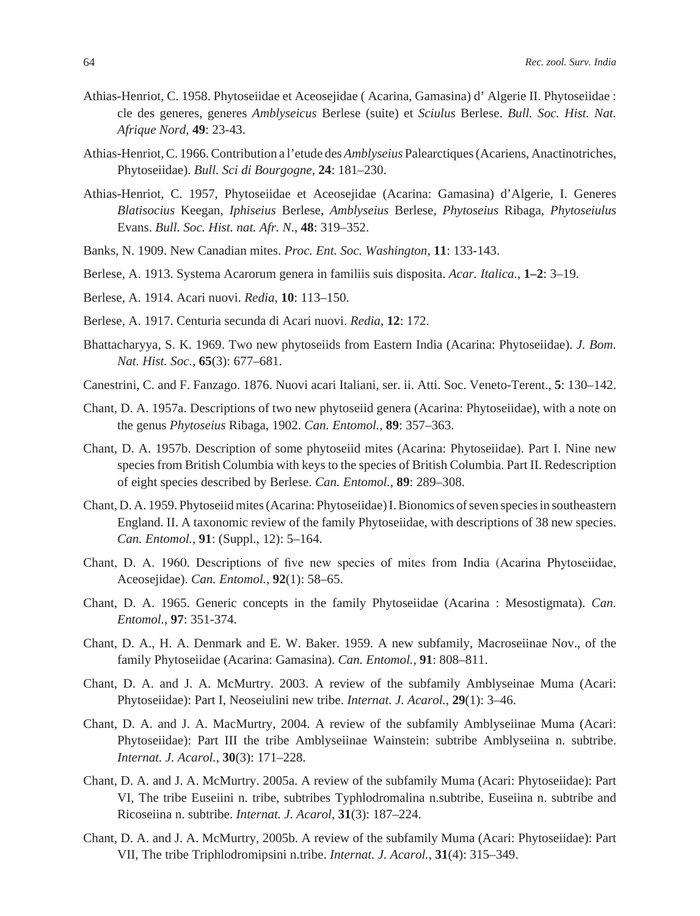- Athias-Henriot, C. 1958. Phytoseiidae et Aceosejidae ( Acarina, Gamasina) d' Algerie II. Phytoseiidae : cle des generes, generes *Amblyseicus* Berlese (suite) et *Sciulus* Berlese. *Bull. Soc. Hist. Nat. Afrique Nord,* **49**: 23-43.
- Athias-Henriot, C. 1966. Contribution a l'etude des *Amblyseius* Palearctiques (Acariens, Anactinotriches, Phytoseiidae). *Bull. Sci di Bourgogne*, **24**: 181–230.
- Athias-Henriot, C. 1957, Phytoseiidae et Aceosejidae (Acarina: Gamasina) d'Algerie, I. Generes *Blatisocius* Keegan, *Iphiseius* Berlese, *Amblyseius* Berlese, *Phytoseius* Ribaga, *Phytoseiulus*  Evans. *Bull. Soc. Hist. nat. Afr. N*., **48**: 319–352.
- Banks, N. 1909. New Canadian mites. *Proc. Ent. Soc. Washington,* **11**: 133-143.
- Berlese, A. 1913. Systema Acarorum genera in familiis suis disposita. *Acar. Italica.*, **1–2**: 3–19.
- Berlese, A. 1914. Acari nuovi. *Redia*, **10**: 113–150.
- Berlese, A. 1917. Centuria secunda di Acari nuovi. *Redia*, **12**: 172.
- Bhattacharyya, S. K. 1969. Two new phytoseiids from Eastern India (Acarina: Phytoseiidae). *J. Bom. Nat. Hist. Soc.,* **65**(3): 677–681.
- Canestrini, C. and F. Fanzago. 1876. Nuovi acari Italiani, ser. ii. Atti. Soc. Veneto-Terent., **5**: 130–142.
- Chant, D. A. 1957a. Descriptions of two new phytoseiid genera (Acarina: Phytoseiidae), with a note on the genus *Phytoseius* Ribaga, 1902. *Can. Entomol.*, **89**: 357–363.
- Chant, D. A. 1957b. Description of some phytoseiid mites (Acarina: Phytoseiidae). Part I. Nine new species from British Columbia with keys to the species of British Columbia. Part II. Redescription of eight species described by Berlese. *Can. Entomol.*, **89**: 289–308.
- Chant, D. A. 1959. Phytoseiid mites (Acarina: Phytoseiidae) I. Bionomics of seven species in southeastern England. II. A taxonomic review of the family Phytoseiidae, with descriptions of 38 new species. *Can. Entomol.,* **91**: (Suppl., 12): 5–164.
- Chant, D. A. 1960. Descriptions of five new species of mites from India (Acarina Phytoseiidae, Aceosejidae). *Can. Entomol.*, **92**(1): 58–65.
- Chant, D. A. 1965. Generic concepts in the family Phytoseiidae (Acarina : Mesostigmata). *Can. Entomol.*, **97**: 351-374.
- Chant, D. A., H. A. Denmark and E. W. Baker. 1959. A new subfamily, Macroseiinae Nov., of the family Phytoseiidae (Acarina: Gamasina). *Can. Entomol.*, **91**: 808–811.
- Chant, D. A. and J. A. McMurtry. 2003. A review of the subfamily Amblyseinae Muma (Acari: Phytoseiidae): Part I, Neoseiulini new tribe. *Internat. J. Acarol.*, **29**(1): 3–46.
- Chant, D. A. and J. A. MacMurtry, 2004. A review of the subfamily Amblyseiinae Muma (Acari: Phytoseiidae): Part III the tribe Amblyseiinae Wainstein: subtribe Amblyseiina n. subtribe. *Internat. J. Acarol.*, **30**(3): 171–228.
- Chant, D. A. and J. A. McMurtry. 2005a. A review of the subfamily Muma (Acari: Phytoseiidae): Part VI, The tribe Euseiini n. tribe, subtribes Typhlodromalina n.subtribe, Euseiina n. subtribe and Ricoseiina n. subtribe. *Internat. J. Acarol*, **31**(3): 187–224.
- Chant, D. A. and J. A. McMurtry, 2005b. A review of the subfamily Muma (Acari: Phytoseiidae): Part VII, The tribe Triphlodromipsini n.tribe. *Internat. J. Acarol.*, **31**(4): 315–349.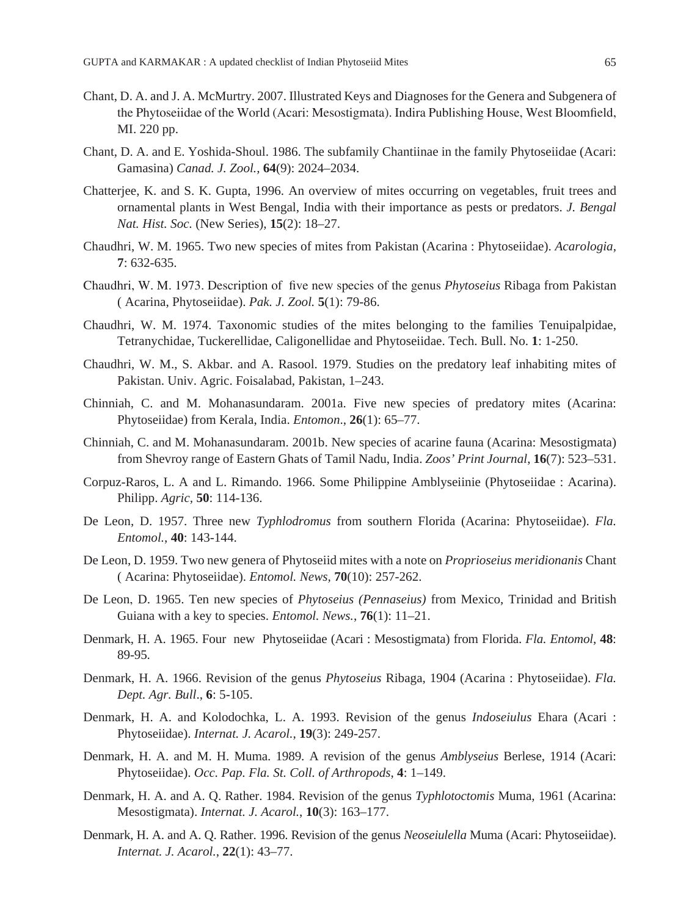- Chant, D. A. and J. A. McMurtry. 2007. Illustrated Keys and Diagnoses for the Genera and Subgenera of the Phytoseiidae of the World (Acari: Mesostigmata). Indira Publishing House, West Bloomfield, MI. 220 pp.
- Chant, D. A. and E. Yoshida-Shoul. 1986. The subfamily Chantiinae in the family Phytoseiidae (Acari: Gamasina) *Canad. J. Zool.*, **64**(9): 2024–2034.
- Chatterjee, K. and S. K. Gupta, 1996. An overview of mites occurring on vegetables, fruit trees and ornamental plants in West Bengal, India with their importance as pests or predators. *J. Bengal Nat. Hist. Soc.* (New Series), **15**(2): 18–27.
- Chaudhri, W. M. 1965. Two new species of mites from Pakistan (Acarina : Phytoseiidae). *Acarologia*, **7**: 632-635.
- Chaudhri, W. M. 1973. Description of five new species of the genus *Phytoseius* Ribaga from Pakistan ( Acarina, Phytoseiidae). *Pak. J. Zool.* **5**(1): 79-86.
- Chaudhri, W. M. 1974. Taxonomic studies of the mites belonging to the families Tenuipalpidae, Tetranychidae, Tuckerellidae, Caligonellidae and Phytoseiidae. Tech. Bull. No. **1**: 1-250.
- Chaudhri, W. M., S. Akbar. and A. Rasool. 1979. Studies on the predatory leaf inhabiting mites of Pakistan. Univ. Agric. Foisalabad, Pakistan, 1–243.
- Chinniah, C. and M. Mohanasundaram. 2001a. Five new species of predatory mites (Acarina: Phytoseiidae) from Kerala, India. *Entomon*., **26**(1): 65–77.
- Chinniah, C. and M. Mohanasundaram. 2001b. New species of acarine fauna (Acarina: Mesostigmata) from Shevroy range of Eastern Ghats of Tamil Nadu, India. *Zoos' Print Journal*, **16**(7): 523–531.
- Corpuz-Raros, L. A and L. Rimando. 1966. Some Philippine Amblyseiinie (Phytoseiidae : Acarina). Philipp. *Agric,* **50**: 114-136.
- De Leon, D. 1957. Three new *Typhlodromus* from southern Florida (Acarina: Phytoseiidae). *Fla. Entomol.*, **40**: 143-144.
- De Leon, D. 1959. Two new genera of Phytoseiid mites with a note on *Proprioseius meridionanis* Chant ( Acarina: Phytoseiidae). *Entomol. News,* **70**(10): 257-262.
- De Leon, D. 1965. Ten new species of *Phytoseius (Pennaseius)* from Mexico, Trinidad and British Guiana with a key to species. *Entomol. News.*, **76**(1): 11–21.
- Denmark, H. A. 1965. Four new Phytoseiidae (Acari : Mesostigmata) from Florida. *Fla. Entomol*, **48**: 89-95.
- Denmark, H. A. 1966. Revision of the genus *Phytoseius* Ribaga, 1904 (Acarina : Phytoseiidae). *Fla. Dept. Agr. Bull*., **6**: 5-105.
- Denmark, H. A. and Kolodochka, L. A. 1993. Revision of the genus *Indoseiulus* Ehara (Acari : Phytoseiidae). *Internat. J. Acarol.*, **19**(3): 249-257.
- Denmark, H. A. and M. H. Muma. 1989. A revision of the genus *Amblyseius* Berlese, 1914 (Acari: Phytoseiidae). *Occ. Pap. Fla. St. Coll. of Arthropods*, **4**: 1–149.
- Denmark, H. A. and A. Q. Rather. 1984. Revision of the genus *Typhlotoctomis* Muma, 1961 (Acarina: Mesostigmata). *Internat. J. Acarol.*, **10**(3): 163–177.
- Denmark, H. A. and A. Q. Rather. 1996. Revision of the genus *Neoseiulella* Muma (Acari: Phytoseiidae). *Internat. J. Acarol.*, **22**(1): 43–77.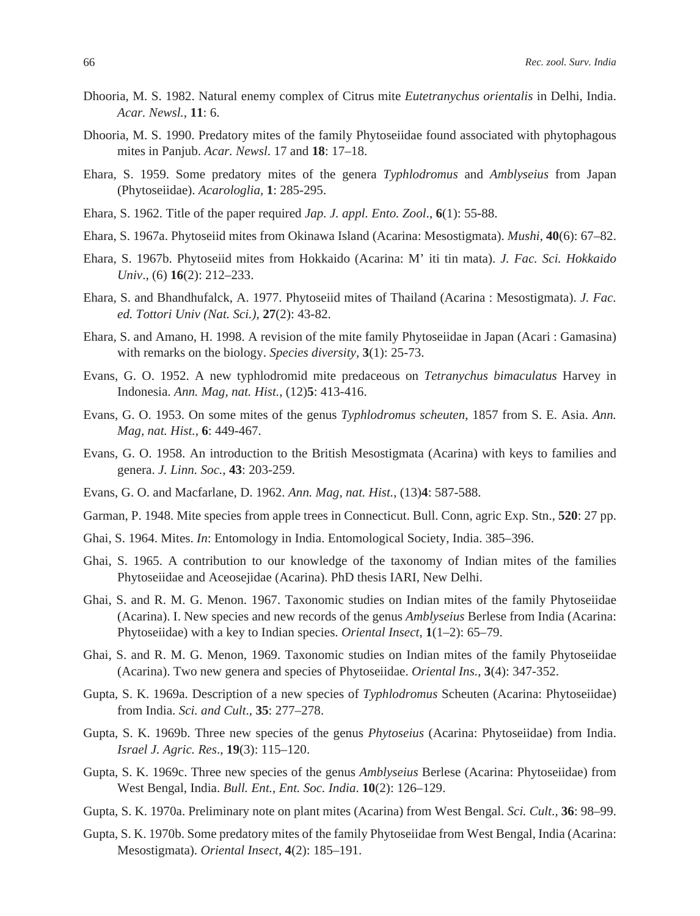- Dhooria, M. S. 1982. Natural enemy complex of Citrus mite *Eutetranychus orientalis* in Delhi, India. *Acar. Newsl.*, **11**: 6.
- Dhooria, M. S. 1990. Predatory mites of the family Phytoseiidae found associated with phytophagous mites in Panjub. *Acar. Newsl*. 17 and **18**: 17–18.
- Ehara, S. 1959. Some predatory mites of the genera *Typhlodromus* and *Amblyseius* from Japan (Phytoseiidae). *Acarologlia,* **1**: 285-295.
- Ehara, S. 1962. Title of the paper required *Jap. J. appl. Ento. Zool*., **6**(1): 55-88.
- Ehara, S. 1967a. Phytoseiid mites from Okinawa Island (Acarina: Mesostigmata). *Mushi*, **40**(6): 67–82.
- Ehara, S. 1967b. Phytoseiid mites from Hokkaido (Acarina: M' iti tin mata). *J. Fac. Sci. Hokkaido Univ*., (6) **16**(2): 212–233.
- Ehara, S. and Bhandhufalck, A. 1977. Phytoseiid mites of Thailand (Acarina : Mesostigmata). *J. Fac. ed. Tottori Univ (Nat. Sci.),* **27**(2): 43-82.
- Ehara, S. and Amano, H. 1998. A revision of the mite family Phytoseiidae in Japan (Acari : Gamasina) with remarks on the biology. *Species diversity,* **3**(1): 25-73.
- Evans, G. O. 1952. A new typhlodromid mite predaceous on *Tetranychus bimaculatus* Harvey in Indonesia. *Ann. Mag, nat. Hist.*, (12)**5**: 413-416.
- Evans, G. O. 1953. On some mites of the genus *Typhlodromus scheuten*, 1857 from S. E. Asia. *Ann. Mag, nat. Hist.*, **6**: 449-467.
- Evans, G. O. 1958. An introduction to the British Mesostigmata (Acarina) with keys to families and genera. *J. Linn. Soc.*, **43**: 203-259.
- Evans, G. O. and Macfarlane, D. 1962. *Ann. Mag, nat. Hist.*, (13)**4**: 587-588.
- Garman, P. 1948. Mite species from apple trees in Connecticut. Bull. Conn, agric Exp. Stn., **520**: 27 pp.
- Ghai, S. 1964. Mites. *In*: Entomology in India. Entomological Society, India. 385–396.
- Ghai, S. 1965. A contribution to our knowledge of the taxonomy of Indian mites of the families Phytoseiidae and Aceosejidae (Acarina). PhD thesis IARI, New Delhi.
- Ghai, S. and R. M. G. Menon. 1967. Taxonomic studies on Indian mites of the family Phytoseiidae (Acarina). I. New species and new records of the genus *Amblyseius* Berlese from India (Acarina: Phytoseiidae) with a key to Indian species. *Oriental Insect*, **1**(1–2): 65–79.
- Ghai, S. and R. M. G. Menon, 1969. Taxonomic studies on Indian mites of the family Phytoseiidae (Acarina). Two new genera and species of Phytoseiidae. *Oriental Ins.*, **3**(4): 347-352.
- Gupta, S. K. 1969a. Description of a new species of *Typhlodromus* Scheuten (Acarina: Phytoseiidae) from India. *Sci. and Cult*., **35**: 277–278.
- Gupta, S. K. 1969b. Three new species of the genus *Phytoseius* (Acarina: Phytoseiidae) from India. *Israel J. Agric. Res*., **19**(3): 115–120.
- Gupta, S. K. 1969c. Three new species of the genus *Amblyseius* Berlese (Acarina: Phytoseiidae) from West Bengal, India. *Bull. Ent., Ent. Soc. India*. **10**(2): 126–129.
- Gupta, S. K. 1970a. Preliminary note on plant mites (Acarina) from West Bengal. *Sci. Cult*., **36**: 98–99.
- Gupta, S. K. 1970b. Some predatory mites of the family Phytoseiidae from West Bengal, India (Acarina: Mesostigmata). *Oriental Insect*, **4**(2): 185–191.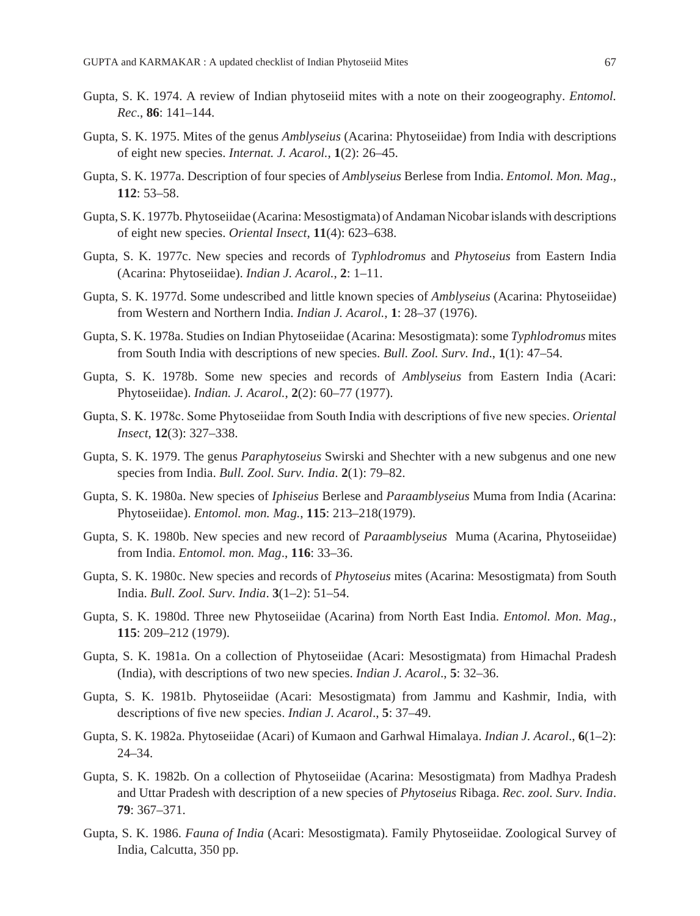- Gupta, S. K. 1974. A review of Indian phytoseiid mites with a note on their zoogeography. *Entomol. Rec*., **86**: 141–144.
- Gupta, S. K. 1975. Mites of the genus *Amblyseius* (Acarina: Phytoseiidae) from India with descriptions of eight new species. *Internat. J. Acarol.*, **1**(2): 26–45.
- Gupta, S. K. 1977a. Description of four species of *Amblyseius* Berlese from India. *Entomol. Mon. Mag*., **112**: 53–58.
- Gupta, S. K. 1977b. Phytoseiidae (Acarina: Mesostigmata) of Andaman Nicobar islands with descriptions of eight new species. *Oriental Insect*, **11**(4): 623–638.
- Gupta, S. K. 1977c. New species and records of *Typhlodromus* and *Phytoseius* from Eastern India (Acarina: Phytoseiidae). *Indian J. Acarol.*, **2**: 1–11.
- Gupta, S. K. 1977d. Some undescribed and little known species of *Amblyseius* (Acarina: Phytoseiidae) from Western and Northern India. *Indian J. Acarol.*, **1**: 28–37 (1976).
- Gupta, S. K. 1978a. Studies on Indian Phytoseiidae (Acarina: Mesostigmata): some *Typhlodromus* mites from South India with descriptions of new species. *Bull. Zool. Surv. Ind*., **1**(1): 47–54.
- Gupta, S. K. 1978b. Some new species and records of *Amblyseius* from Eastern India (Acari: Phytoseiidae). *Indian. J. Acarol.*, **2**(2): 60–77 (1977).
- Gupta, S. K. 1978c. Some Phytoseiidae from South India with descriptions of five new species. *Oriental Insect*, **12**(3): 327–338.
- Gupta, S. K. 1979. The genus *Paraphytoseius* Swirski and Shechter with a new subgenus and one new species from India. *Bull. Zool. Surv. India*. **2**(1): 79–82.
- Gupta, S. K. 1980a. New species of *Iphiseius* Berlese and *Paraamblyseius* Muma from India (Acarina: Phytoseiidae). *Entomol. mon. Mag.*, **115**: 213–218(1979).
- Gupta, S. K. 1980b. New species and new record of *Paraamblyseius* Muma (Acarina, Phytoseiidae) from India. *Entomol. mon. Mag*., **116**: 33–36.
- Gupta, S. K. 1980c. New species and records of *Phytoseius* mites (Acarina: Mesostigmata) from South India. *Bull. Zool. Surv. India*. **3**(1–2): 51–54.
- Gupta, S. K. 1980d. Three new Phytoseiidae (Acarina) from North East India. *Entomol. Mon. Mag.*, **115**: 209–212 (1979).
- Gupta, S. K. 1981a. On a collection of Phytoseiidae (Acari: Mesostigmata) from Himachal Pradesh (India), with descriptions of two new species. *Indian J. Acarol*., **5**: 32–36.
- Gupta, S. K. 1981b. Phytoseiidae (Acari: Mesostigmata) from Jammu and Kashmir, India, with descriptions of five new species. *Indian J. Acarol*., **5**: 37–49.
- Gupta, S. K. 1982a. Phytoseiidae (Acari) of Kumaon and Garhwal Himalaya. *Indian J. Acarol*., **6**(1–2): 24–34.
- Gupta, S. K. 1982b. On a collection of Phytoseiidae (Acarina: Mesostigmata) from Madhya Pradesh and Uttar Pradesh with description of a new species of *Phytoseius* Ribaga. *Rec. zool. Surv. India*. **79**: 367–371.
- Gupta, S. K. 1986. *Fauna of India* (Acari: Mesostigmata). Family Phytoseiidae. Zoological Survey of India, Calcutta, 350 pp.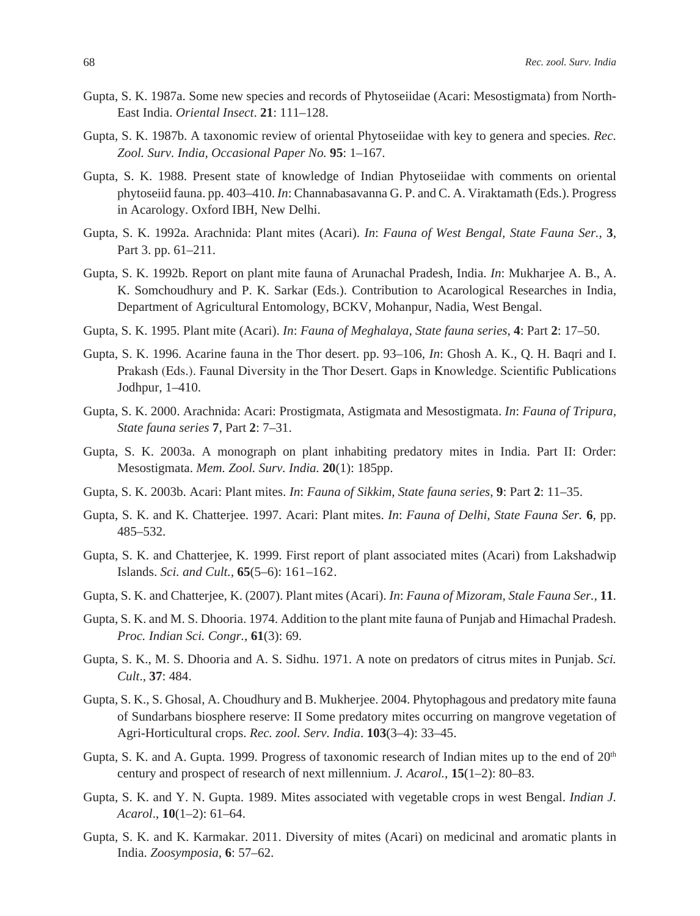- Gupta, S. K. 1987a. Some new species and records of Phytoseiidae (Acari: Mesostigmata) from North-East India. *Oriental Insect*. **21**: 111–128.
- Gupta, S. K. 1987b. A taxonomic review of oriental Phytoseiidae with key to genera and species. *Rec. Zool. Surv. India, Occasional Paper No.* **95**: 1–167.
- Gupta, S. K. 1988. Present state of knowledge of Indian Phytoseiidae with comments on oriental phytoseiid fauna. pp. 403–410. *In*: Channabasavanna G. P. and C. A. Viraktamath (Eds.). Progress in Acarology. Oxford IBH, New Delhi.
- Gupta, S. K. 1992a. Arachnida: Plant mites (Acari). *In*: *Fauna of West Bengal, State Fauna Ser.*, **3**, Part 3. pp. 61–211.
- Gupta, S. K. 1992b. Report on plant mite fauna of Arunachal Pradesh, India. *In*: Mukharjee A. B., A. K. Somchoudhury and P. K. Sarkar (Eds.). Contribution to Acarological Researches in India, Department of Agricultural Entomology, BCKV, Mohanpur, Nadia, West Bengal.
- Gupta, S. K. 1995. Plant mite (Acari). *In*: *Fauna of Meghalaya, State fauna series*, **4**: Part **2**: 17–50.
- Gupta, S. K. 1996. Acarine fauna in the Thor desert. pp. 93–106, *In*: Ghosh A. K., Q. H. Baqri and I. Prakash (Eds.). Faunal Diversity in the Thor Desert. Gaps in Knowledge. Scientific Publications Jodhpur, 1–410.
- Gupta, S. K. 2000. Arachnida: Acari: Prostigmata, Astigmata and Mesostigmata. *In*: *Fauna of Tripura, State fauna series* **7**, Part **2**: 7–31.
- Gupta, S. K. 2003a. A monograph on plant inhabiting predatory mites in India. Part II: Order: Mesostigmata. *Mem. Zool. Surv. India.* **20**(1): 185pp.
- Gupta, S. K. 2003b. Acari: Plant mites. *In*: *Fauna of Sikkim, State fauna series*, **9**: Part **2**: 11–35.
- Gupta, S. K. and K. Chatterjee. 1997. Acari: Plant mites. *In*: *Fauna of Delhi, State Fauna Ser.* **6**, pp. 485–532.
- Gupta, S. K. and Chatterjee, K. 1999. First report of plant associated mites (Acari) from Lakshadwip Islands. *Sci. and Cult.,* **65**(5–6): 161–162.
- Gupta, S. K. and Chatterjee, K. (2007). Plant mites (Acari). *In*: *Fauna of Mizoram, Stale Fauna Ser.,* **11**.
- Gupta, S. K. and M. S. Dhooria. 1974. Addition to the plant mite fauna of Punjab and Himachal Pradesh. *Proc. Indian Sci. Congr.*, **61**(3): 69.
- Gupta, S. K., M. S. Dhooria and A. S. Sidhu. 1971. A note on predators of citrus mites in Punjab. *Sci. Cult*., **37**: 484.
- Gupta, S. K., S. Ghosal, A. Choudhury and B. Mukherjee. 2004. Phytophagous and predatory mite fauna of Sundarbans biosphere reserve: II Some predatory mites occurring on mangrove vegetation of Agri-Horticultural crops. *Rec. zool. Serv. India*. **103**(3–4): 33–45.
- Gupta, S. K. and A. Gupta. 1999. Progress of taxonomic research of Indian mites up to the end of  $20<sup>th</sup>$ century and prospect of research of next millennium. *J. Acarol.*, **15**(1–2): 80–83.
- Gupta, S. K. and Y. N. Gupta. 1989. Mites associated with vegetable crops in west Bengal. *Indian J. Acarol*., **10**(1–2): 61–64.
- Gupta, S. K. and K. Karmakar. 2011. Diversity of mites (Acari) on medicinal and aromatic plants in India. *Zoosymposia*, **6**: 57–62.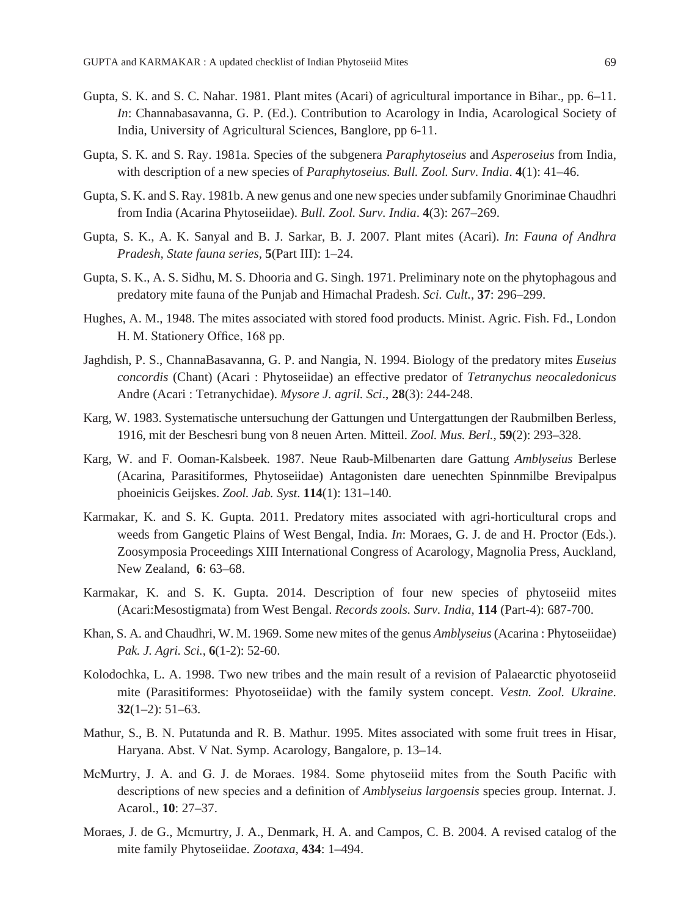- Gupta, S. K. and S. C. Nahar. 1981. Plant mites (Acari) of agricultural importance in Bihar., pp. 6–11. *In*: Channabasavanna, G. P. (Ed.). Contribution to Acarology in India, Acarological Society of India, University of Agricultural Sciences, Banglore, pp 6-11.
- Gupta, S. K. and S. Ray. 1981a. Species of the subgenera *Paraphytoseius* and *Asperoseius* from India, with description of a new species of *Paraphytoseius. Bull. Zool. Surv. India*. **4**(1): 41–46.
- Gupta, S. K. and S. Ray. 1981b. A new genus and one new species under subfamily Gnoriminae Chaudhri from India (Acarina Phytoseiidae). *Bull. Zool. Surv. India*. **4**(3): 267–269.
- Gupta, S. K., A. K. Sanyal and B. J. Sarkar, B. J. 2007. Plant mites (Acari). *In*: *Fauna of Andhra Pradesh, State fauna series,* **5**(Part III): 1–24.
- Gupta, S. K., A. S. Sidhu, M. S. Dhooria and G. Singh. 1971. Preliminary note on the phytophagous and predatory mite fauna of the Punjab and Himachal Pradesh. *Sci. Cult.*, **37**: 296–299.
- Hughes, A. M., 1948. The mites associated with stored food products. Minist. Agric. Fish. Fd., London H. M. Stationery Office, 168 pp.
- Jaghdish, P. S., ChannaBasavanna, G. P. and Nangia, N. 1994. Biology of the predatory mites *Euseius concordis* (Chant) (Acari : Phytoseiidae) an effective predator of *Tetranychus neocaledonicus* Andre (Acari : Tetranychidae). *Mysore J. agril. Sci*., **28**(3): 244-248.
- Karg, W. 1983. Systematische untersuchung der Gattungen und Untergattungen der Raubmilben Berless, 1916, mit der Beschesri bung von 8 neuen Arten. Mitteil. *Zool. Mus. Berl.*, **59**(2): 293–328.
- Karg, W. and F. Ooman-Kalsbeek. 1987. Neue Raub-Milbenarten dare Gattung *Amblyseius* Berlese (Acarina, Parasitiformes, Phytoseiidae) Antagonisten dare uenechten Spinnmilbe Brevipalpus phoeinicis Geijskes. *Zool. Jab. Syst*. **114**(1): 131–140.
- Karmakar, K. and S. K. Gupta. 2011. Predatory mites associated with agri-horticultural crops and weeds from Gangetic Plains of West Bengal, India. *In*: Moraes, G. J. de and H. Proctor (Eds.). Zoosymposia Proceedings XIII International Congress of Acarology, Magnolia Press, Auckland, New Zealand, **6**: 63–68.
- Karmakar, K. and S. K. Gupta. 2014. Description of four new species of phytoseiid mites (Acari:Mesostigmata) from West Bengal. *Records zools. Surv. India,* **114** (Part-4): 687-700.
- Khan, S. A. and Chaudhri, W. M. 1969. Some new mites of the genus *Amblyseius* (Acarina : Phytoseiidae) *Pak. J. Agri. Sci.*, **6**(1-2): 52-60.
- Kolodochka, L. A. 1998. Two new tribes and the main result of a revision of Palaearctic phyotoseiid mite (Parasitiformes: Phyotoseiidae) with the family system concept. *Vestn. Zool. Ukraine*. **32**(1–2): 51–63.
- Mathur, S., B. N. Putatunda and R. B. Mathur. 1995. Mites associated with some fruit trees in Hisar, Haryana. Abst. V Nat. Symp. Acarology, Bangalore, p. 13–14.
- McMurtry, J. A. and G. J. de Moraes. 1984. Some phytoseiid mites from the South Pacific with descriptions of new species and a definition of *Amblyseius largoensis* species group. Internat. J. Acarol., **10**: 27–37.
- Moraes, J. de G., Mcmurtry, J. A., Denmark, H. A. and Campos, C. B. 2004. A revised catalog of the mite family Phytoseiidae. *Zootaxa,* **434**: 1–494.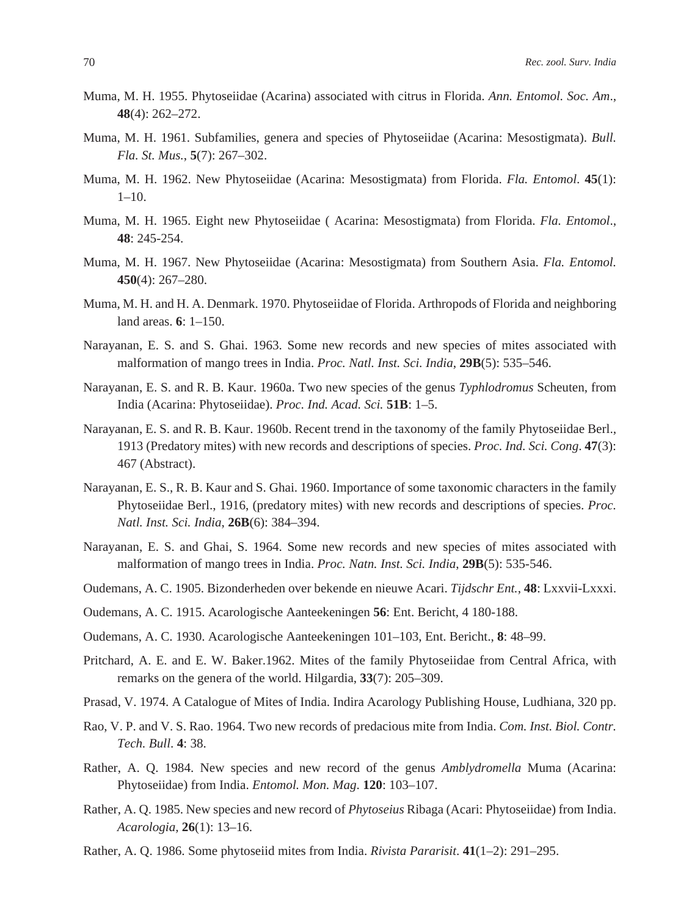- Muma, M. H. 1955. Phytoseiidae (Acarina) associated with citrus in Florida. *Ann. Entomol. Soc. Am*., **48**(4): 262–272.
- Muma, M. H. 1961. Subfamilies, genera and species of Phytoseiidae (Acarina: Mesostigmata). *Bull. Fla. St. Mus.*, **5**(7): 267–302.
- Muma, M. H. 1962. New Phytoseiidae (Acarina: Mesostigmata) from Florida. *Fla. Entomol*. **45**(1):  $1 - 10$ .
- Muma, M. H. 1965. Eight new Phytoseiidae ( Acarina: Mesostigmata) from Florida. *Fla. Entomol*., **48**: 245-254.
- Muma, M. H. 1967. New Phytoseiidae (Acarina: Mesostigmata) from Southern Asia. *Fla. Entomol.*  **450**(4): 267–280.
- Muma, M. H. and H. A. Denmark. 1970. Phytoseiidae of Florida. Arthropods of Florida and neighboring land areas. **6**: 1–150.
- Narayanan, E. S. and S. Ghai. 1963. Some new records and new species of mites associated with malformation of mango trees in India. *Proc. Natl. Inst. Sci. India*, **29B**(5): 535–546.
- Narayanan, E. S. and R. B. Kaur. 1960a. Two new species of the genus *Typhlodromus* Scheuten, from India (Acarina: Phytoseiidae). *Proc. Ind. Acad. Sci.* **51B**: 1–5.
- Narayanan, E. S. and R. B. Kaur. 1960b. Recent trend in the taxonomy of the family Phytoseiidae Berl., 1913 (Predatory mites) with new records and descriptions of species. *Proc. Ind. Sci. Cong*. **47**(3): 467 (Abstract).
- Narayanan, E. S., R. B. Kaur and S. Ghai. 1960. Importance of some taxonomic characters in the family Phytoseiidae Berl., 1916, (predatory mites) with new records and descriptions of species. *Proc. Natl. Inst. Sci. India*, **26B**(6): 384–394.
- Narayanan, E. S. and Ghai, S. 1964. Some new records and new species of mites associated with malformation of mango trees in India. *Proc. Natn. Inst. Sci. India*, **29B**(5): 535-546.
- Oudemans, A. C. 1905. Bizonderheden over bekende en nieuwe Acari. *Tijdschr Ent.*, **48**: Lxxvii-Lxxxi.
- Oudemans, A. C. 1915. Acarologische Aanteekeningen **56**: Ent. Bericht, 4 180-188.
- Oudemans, A. C. 1930. Acarologische Aanteekeningen 101–103, Ent. Bericht., **8**: 48–99.
- Pritchard, A. E. and E. W. Baker.1962. Mites of the family Phytoseiidae from Central Africa, with remarks on the genera of the world. Hilgardia, **33**(7): 205–309.
- Prasad, V. 1974. A Catalogue of Mites of India. Indira Acarology Publishing House, Ludhiana, 320 pp.
- Rao, V. P. and V. S. Rao. 1964. Two new records of predacious mite from India. *Com. Inst. Biol. Contr. Tech. Bull*. **4**: 38.
- Rather, A. Q. 1984. New species and new record of the genus *Amblydromella* Muma (Acarina: Phytoseiidae) from India. *Entomol. Mon. Mag*. **120**: 103–107.
- Rather, A. Q. 1985. New species and new record of *Phytoseius* Ribaga (Acari: Phytoseiidae) from India. *Acarologia,* **26**(1): 13–16.
- Rather, A. Q. 1986. Some phytoseiid mites from India. *Rivista Pararisit*. **41**(1–2): 291–295.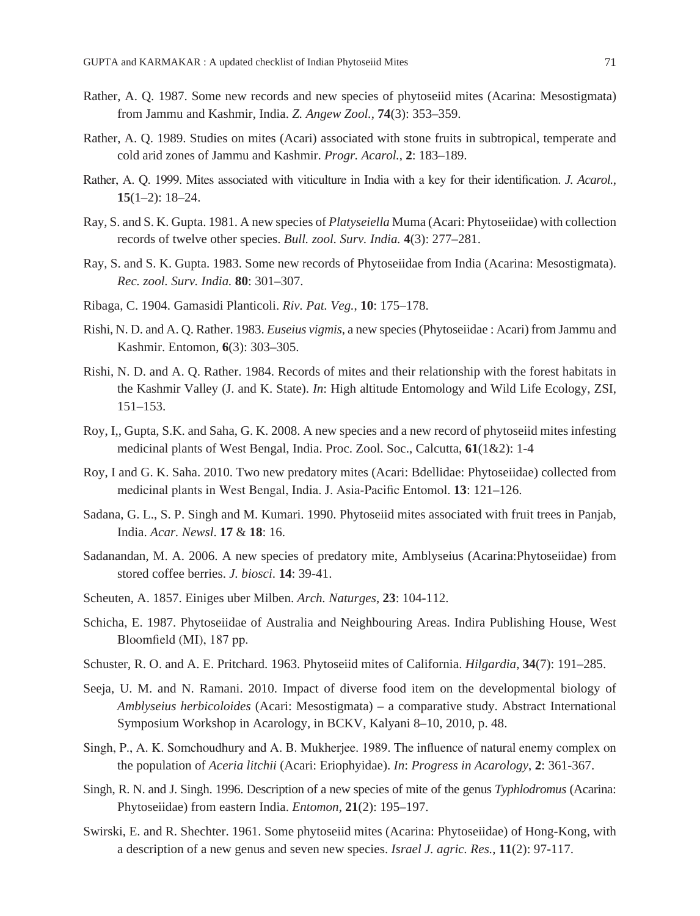- Rather, A. Q. 1987. Some new records and new species of phytoseiid mites (Acarina: Mesostigmata) from Jammu and Kashmir, India. *Z. Angew Zool.*, **74**(3): 353–359.
- Rather, A. Q. 1989. Studies on mites (Acari) associated with stone fruits in subtropical, temperate and cold arid zones of Jammu and Kashmir. *Progr. Acarol.*, **2**: 183–189.
- Rather, A. Q. 1999. Mites associated with viticulture in India with a key for their identification. *J. Acarol.*, **15**(1–2): 18–24.
- Ray, S. and S. K. Gupta. 1981. A new species of *Platyseiella* Muma (Acari: Phytoseiidae) with collection records of twelve other species. *Bull. zool. Surv. India.* **4**(3): 277–281.
- Ray, S. and S. K. Gupta. 1983. Some new records of Phytoseiidae from India (Acarina: Mesostigmata). *Rec. zool. Surv. India.* **80**: 301–307.
- Ribaga, C. 1904. Gamasidi Planticoli. *Riv. Pat. Veg.*, **10**: 175–178.
- Rishi, N. D. and A. Q. Rather. 1983. *Euseius vigmis*, a new species (Phytoseiidae : Acari) from Jammu and Kashmir. Entomon, **6**(3): 303–305.
- Rishi, N. D. and A. Q. Rather. 1984. Records of mites and their relationship with the forest habitats in the Kashmir Valley (J. and K. State). *In*: High altitude Entomology and Wild Life Ecology, ZSI, 151–153.
- Roy, I,, Gupta, S.K. and Saha, G. K. 2008. A new species and a new record of phytoseiid mites infesting medicinal plants of West Bengal, India. Proc. Zool. Soc., Calcutta, **61**(1&2): 1-4
- Roy, I and G. K. Saha. 2010. Two new predatory mites (Acari: Bdellidae: Phytoseiidae) collected from medicinal plants in West Bengal, India. J. Asia-Pacific Entomol. **13**: 121–126.
- Sadana, G. L., S. P. Singh and M. Kumari. 1990. Phytoseiid mites associated with fruit trees in Panjab, India. *Acar. Newsl*. **17** & **18**: 16.
- Sadanandan, M. A. 2006. A new species of predatory mite, Amblyseius (Acarina:Phytoseiidae) from stored coffee berries. *J. biosci*. **14**: 39-41.
- Scheuten, A. 1857. Einiges uber Milben. *Arch. Naturges*, **23**: 104-112.
- Schicha, E. 1987. Phytoseiidae of Australia and Neighbouring Areas. Indira Publishing House, West Bloomfield (MI), 187 pp.
- Schuster, R. O. and A. E. Pritchard. 1963. Phytoseiid mites of California. *Hilgardia*, **34**(7): 191–285.
- Seeja, U. M. and N. Ramani. 2010. Impact of diverse food item on the developmental biology of *Amblyseius herbicoloides* (Acari: Mesostigmata) – a comparative study. Abstract International Symposium Workshop in Acarology, in BCKV, Kalyani 8–10, 2010, p. 48.
- Singh, P., A. K. Somchoudhury and A. B. Mukherjee. 1989. The influence of natural enemy complex on the population of *Aceria litchii* (Acari: Eriophyidae). *In*: *Progress in Acarology*, **2**: 361-367.
- Singh, R. N. and J. Singh. 1996. Description of a new species of mite of the genus *Typhlodromus* (Acarina: Phytoseiidae) from eastern India. *Entomon*, **21**(2): 195–197.
- Swirski, E. and R. Shechter. 1961. Some phytoseiid mites (Acarina: Phytoseiidae) of Hong-Kong, with a description of a new genus and seven new species. *Israel J. agric. Res.*, **11**(2): 97-117.